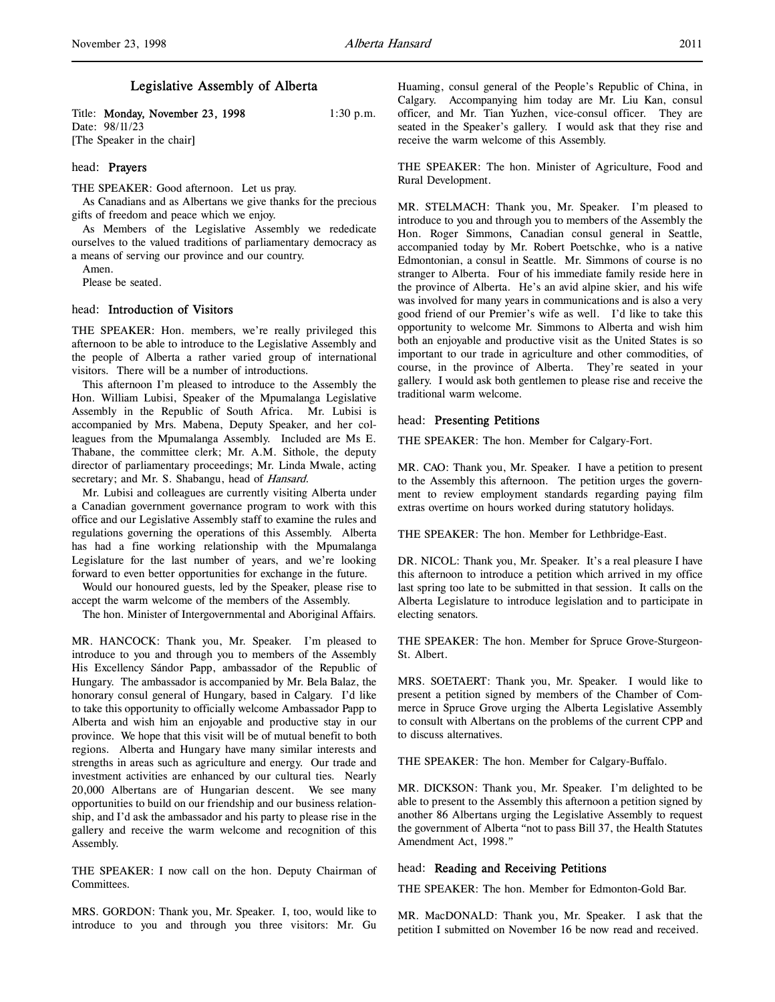Title: **Monday, November 23, 1998** 1:30 p.m. Date: 98/11/23 [The Speaker in the chair]

## head: Prayers

THE SPEAKER: Good afternoon. Let us pray.

As Canadians and as Albertans we give thanks for the precious gifts of freedom and peace which we enjoy.

As Members of the Legislative Assembly we rededicate ourselves to the valued traditions of parliamentary democracy as a means of serving our province and our country.

Amen.

Please be seated.

# head: Introduction of Visitors

THE SPEAKER: Hon. members, we're really privileged this afternoon to be able to introduce to the Legislative Assembly and the people of Alberta a rather varied group of international visitors. There will be a number of introductions.

This afternoon I'm pleased to introduce to the Assembly the Hon. William Lubisi, Speaker of the Mpumalanga Legislative Assembly in the Republic of South Africa. Mr. Lubisi is accompanied by Mrs. Mabena, Deputy Speaker, and her colleagues from the Mpumalanga Assembly. Included are Ms E. Thabane, the committee clerk; Mr. A.M. Sithole, the deputy director of parliamentary proceedings; Mr. Linda Mwale, acting secretary; and Mr. S. Shabangu, head of Hansard.

Mr. Lubisi and colleagues are currently visiting Alberta under a Canadian government governance program to work with this office and our Legislative Assembly staff to examine the rules and regulations governing the operations of this Assembly. Alberta has had a fine working relationship with the Mpumalanga Legislature for the last number of years, and we're looking forward to even better opportunities for exchange in the future.

Would our honoured guests, led by the Speaker, please rise to accept the warm welcome of the members of the Assembly.

The hon. Minister of Intergovernmental and Aboriginal Affairs.

MR. HANCOCK: Thank you, Mr. Speaker. I'm pleased to introduce to you and through you to members of the Assembly His Excellency Sándor Papp, ambassador of the Republic of Hungary. The ambassador is accompanied by Mr. Bela Balaz, the honorary consul general of Hungary, based in Calgary. I'd like to take this opportunity to officially welcome Ambassador Papp to Alberta and wish him an enjoyable and productive stay in our province. We hope that this visit will be of mutual benefit to both regions. Alberta and Hungary have many similar interests and strengths in areas such as agriculture and energy. Our trade and investment activities are enhanced by our cultural ties. Nearly 20,000 Albertans are of Hungarian descent. We see many opportunities to build on our friendship and our business relationship, and I'd ask the ambassador and his party to please rise in the gallery and receive the warm welcome and recognition of this Assembly.

THE SPEAKER: I now call on the hon. Deputy Chairman of Committees.

MRS. GORDON: Thank you, Mr. Speaker. I, too, would like to introduce to you and through you three visitors: Mr. Gu Huaming, consul general of the People's Republic of China, in Calgary. Accompanying him today are Mr. Liu Kan, consul officer, and Mr. Tian Yuzhen, vice-consul officer. They are seated in the Speaker's gallery. I would ask that they rise and receive the warm welcome of this Assembly.

THE SPEAKER: The hon. Minister of Agriculture, Food and Rural Development.

MR. STELMACH: Thank you, Mr. Speaker. I'm pleased to introduce to you and through you to members of the Assembly the Hon. Roger Simmons, Canadian consul general in Seattle, accompanied today by Mr. Robert Poetschke, who is a native Edmontonian, a consul in Seattle. Mr. Simmons of course is no stranger to Alberta. Four of his immediate family reside here in the province of Alberta. He's an avid alpine skier, and his wife was involved for many years in communications and is also a very good friend of our Premier's wife as well. I'd like to take this opportunity to welcome Mr. Simmons to Alberta and wish him both an enjoyable and productive visit as the United States is so important to our trade in agriculture and other commodities, of course, in the province of Alberta. They're seated in your gallery. I would ask both gentlemen to please rise and receive the traditional warm welcome.

#### head: Presenting Petitions

THE SPEAKER: The hon. Member for Calgary-Fort.

MR. CAO: Thank you, Mr. Speaker. I have a petition to present to the Assembly this afternoon. The petition urges the government to review employment standards regarding paying film extras overtime on hours worked during statutory holidays.

THE SPEAKER: The hon. Member for Lethbridge-East.

DR. NICOL: Thank you, Mr. Speaker. It's a real pleasure I have this afternoon to introduce a petition which arrived in my office last spring too late to be submitted in that session. It calls on the Alberta Legislature to introduce legislation and to participate in electing senators.

THE SPEAKER: The hon. Member for Spruce Grove-Sturgeon-St. Albert.

MRS. SOETAERT: Thank you, Mr. Speaker. I would like to present a petition signed by members of the Chamber of Commerce in Spruce Grove urging the Alberta Legislative Assembly to consult with Albertans on the problems of the current CPP and to discuss alternatives.

THE SPEAKER: The hon. Member for Calgary-Buffalo.

MR. DICKSON: Thank you, Mr. Speaker. I'm delighted to be able to present to the Assembly this afternoon a petition signed by another 86 Albertans urging the Legislative Assembly to request the government of Alberta "not to pass Bill 37, the Health Statutes Amendment Act, 1998."

## head: Reading and Receiving Petitions

THE SPEAKER: The hon. Member for Edmonton-Gold Bar.

MR. MacDONALD: Thank you, Mr. Speaker. I ask that the petition I submitted on November 16 be now read and received.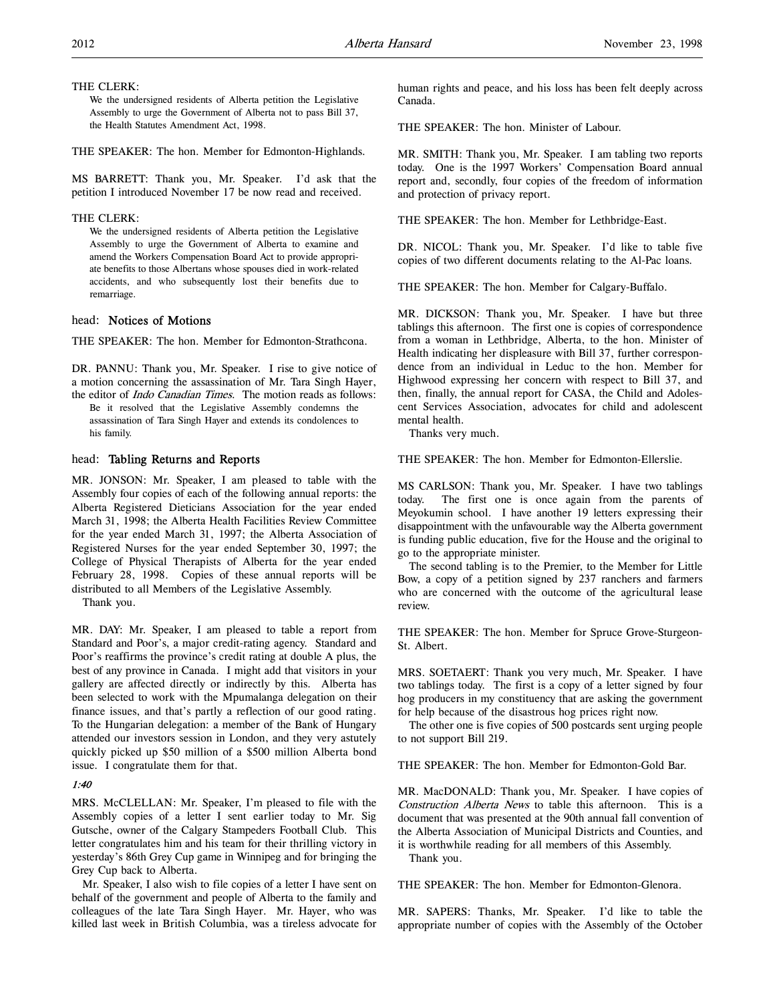### THE CLERK:

We the undersigned residents of Alberta petition the Legislative Assembly to urge the Government of Alberta not to pass Bill 37, the Health Statutes Amendment Act, 1998.

THE SPEAKER: The hon. Member for Edmonton-Highlands.

MS BARRETT: Thank you, Mr. Speaker. I'd ask that the petition I introduced November 17 be now read and received.

#### THE CLERK:

We the undersigned residents of Alberta petition the Legislative Assembly to urge the Government of Alberta to examine and amend the Workers Compensation Board Act to provide appropriate benefits to those Albertans whose spouses died in work-related accidents, and who subsequently lost their benefits due to remarriage.

## head: Notices of Motions

THE SPEAKER: The hon. Member for Edmonton-Strathcona.

DR. PANNU: Thank you, Mr. Speaker. I rise to give notice of a motion concerning the assassination of Mr. Tara Singh Hayer, the editor of Indo Canadian Times. The motion reads as follows:

Be it resolved that the Legislative Assembly condemns the assassination of Tara Singh Hayer and extends its condolences to his family.

### head: Tabling Returns and Reports

MR. JONSON: Mr. Speaker, I am pleased to table with the Assembly four copies of each of the following annual reports: the Alberta Registered Dieticians Association for the year ended March 31, 1998; the Alberta Health Facilities Review Committee for the year ended March 31, 1997; the Alberta Association of Registered Nurses for the year ended September 30, 1997; the College of Physical Therapists of Alberta for the year ended February 28, 1998. Copies of these annual reports will be distributed to all Members of the Legislative Assembly.

Thank you.

MR. DAY: Mr. Speaker, I am pleased to table a report from Standard and Poor's, a major credit-rating agency. Standard and Poor's reaffirms the province's credit rating at double A plus, the best of any province in Canada. I might add that visitors in your gallery are affected directly or indirectly by this. Alberta has been selected to work with the Mpumalanga delegation on their finance issues, and that's partly a reflection of our good rating. To the Hungarian delegation: a member of the Bank of Hungary attended our investors session in London, and they very astutely quickly picked up \$50 million of a \$500 million Alberta bond issue. I congratulate them for that.

### 1:40

MRS. McCLELLAN: Mr. Speaker, I'm pleased to file with the Assembly copies of a letter I sent earlier today to Mr. Sig Gutsche, owner of the Calgary Stampeders Football Club. This letter congratulates him and his team for their thrilling victory in yesterday's 86th Grey Cup game in Winnipeg and for bringing the Grey Cup back to Alberta.

Mr. Speaker, I also wish to file copies of a letter I have sent on behalf of the government and people of Alberta to the family and colleagues of the late Tara Singh Hayer. Mr. Hayer, who was killed last week in British Columbia, was a tireless advocate for

human rights and peace, and his loss has been felt deeply across Canada.

THE SPEAKER: The hon. Minister of Labour.

MR. SMITH: Thank you, Mr. Speaker. I am tabling two reports today. One is the 1997 Workers' Compensation Board annual report and, secondly, four copies of the freedom of information and protection of privacy report.

THE SPEAKER: The hon. Member for Lethbridge-East.

DR. NICOL: Thank you, Mr. Speaker. I'd like to table five copies of two different documents relating to the Al-Pac loans.

THE SPEAKER: The hon. Member for Calgary-Buffalo.

MR. DICKSON: Thank you, Mr. Speaker. I have but three tablings this afternoon. The first one is copies of correspondence from a woman in Lethbridge, Alberta, to the hon. Minister of Health indicating her displeasure with Bill 37, further correspondence from an individual in Leduc to the hon. Member for Highwood expressing her concern with respect to Bill 37, and then, finally, the annual report for CASA, the Child and Adolescent Services Association, advocates for child and adolescent mental health.

Thanks very much.

THE SPEAKER: The hon. Member for Edmonton-Ellerslie.

MS CARLSON: Thank you, Mr. Speaker. I have two tablings today. The first one is once again from the parents of Meyokumin school. I have another 19 letters expressing their disappointment with the unfavourable way the Alberta government is funding public education, five for the House and the original to go to the appropriate minister.

The second tabling is to the Premier, to the Member for Little Bow, a copy of a petition signed by 237 ranchers and farmers who are concerned with the outcome of the agricultural lease review.

THE SPEAKER: The hon. Member for Spruce Grove-Sturgeon-St. Albert.

MRS. SOETAERT: Thank you very much, Mr. Speaker. I have two tablings today. The first is a copy of a letter signed by four hog producers in my constituency that are asking the government for help because of the disastrous hog prices right now.

The other one is five copies of 500 postcards sent urging people to not support Bill 219.

THE SPEAKER: The hon. Member for Edmonton-Gold Bar.

MR. MacDONALD: Thank you, Mr. Speaker. I have copies of Construction Alberta News to table this afternoon. This is a document that was presented at the 90th annual fall convention of the Alberta Association of Municipal Districts and Counties, and it is worthwhile reading for all members of this Assembly.

Thank you.

THE SPEAKER: The hon. Member for Edmonton-Glenora.

MR. SAPERS: Thanks, Mr. Speaker. I'd like to table the appropriate number of copies with the Assembly of the October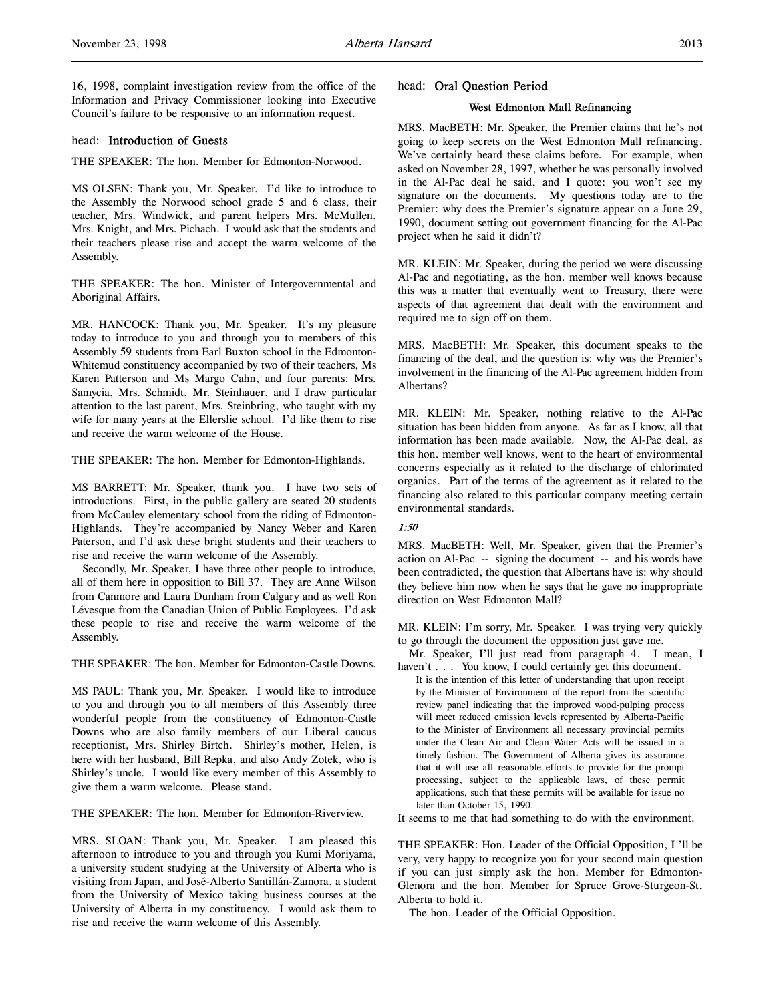16, 1998, complaint investigation review from the office of the Information and Privacy Commissioner looking into Executive Council's failure to be responsive to an information request.

## head: Introduction of Guests

THE SPEAKER: The hon. Member for Edmonton-Norwood.

MS OLSEN: Thank you, Mr. Speaker. I'd like to introduce to the Assembly the Norwood school grade 5 and 6 class, their teacher, Mrs. Windwick, and parent helpers Mrs. McMullen, Mrs. Knight, and Mrs. Pichach. I would ask that the students and their teachers please rise and accept the warm welcome of the Assembly.

THE SPEAKER: The hon. Minister of Intergovernmental and Aboriginal Affairs.

MR. HANCOCK: Thank you, Mr. Speaker. It's my pleasure today to introduce to you and through you to members of this Assembly 59 students from Earl Buxton school in the Edmonton-Whitemud constituency accompanied by two of their teachers, Ms Karen Patterson and Ms Margo Cahn, and four parents: Mrs. Samycia, Mrs. Schmidt, Mr. Steinhauer, and I draw particular attention to the last parent, Mrs. Steinbring, who taught with my wife for many years at the Ellerslie school. I'd like them to rise and receive the warm welcome of the House.

THE SPEAKER: The hon. Member for Edmonton-Highlands.

MS BARRETT: Mr. Speaker, thank you. I have two sets of introductions. First, in the public gallery are seated 20 students from McCauley elementary school from the riding of Edmonton-Highlands. They're accompanied by Nancy Weber and Karen Paterson, and I'd ask these bright students and their teachers to rise and receive the warm welcome of the Assembly.

Secondly, Mr. Speaker, I have three other people to introduce, all of them here in opposition to Bill 37. They are Anne Wilson from Canmore and Laura Dunham from Calgary and as well Ron Lévesque from the Canadian Union of Public Employees. I'd ask these people to rise and receive the warm welcome of the Assembly.

THE SPEAKER: The hon. Member for Edmonton-Castle Downs.

MS PAUL: Thank you, Mr. Speaker. I would like to introduce to you and through you to all members of this Assembly three wonderful people from the constituency of Edmonton-Castle Downs who are also family members of our Liberal caucus receptionist, Mrs. Shirley Birtch. Shirley's mother, Helen, is here with her husband, Bill Repka, and also Andy Zotek, who is Shirley's uncle. I would like every member of this Assembly to give them a warm welcome. Please stand.

THE SPEAKER: The hon. Member for Edmonton-Riverview.

MRS. SLOAN: Thank you, Mr. Speaker. I am pleased this afternoon to introduce to you and through you Kumi Moriyama, a university student studying at the University of Alberta who is visiting from Japan, and José-Alberto Santillán-Zamora, a student from the University of Mexico taking business courses at the University of Alberta in my constituency. I would ask them to rise and receive the warm welcome of this Assembly.

## head: Oral Question Period

## West Edmonton Mall Refinancing

MRS. MacBETH: Mr. Speaker, the Premier claims that he's not going to keep secrets on the West Edmonton Mall refinancing. We've certainly heard these claims before. For example, when asked on November 28, 1997, whether he was personally involved in the Al-Pac deal he said, and I quote: you won't see my signature on the documents. My questions today are to the Premier: why does the Premier's signature appear on a June 29, 1990, document setting out government financing for the Al-Pac project when he said it didn't?

MR. KLEIN: Mr. Speaker, during the period we were discussing Al-Pac and negotiating, as the hon. member well knows because this was a matter that eventually went to Treasury, there were aspects of that agreement that dealt with the environment and required me to sign off on them.

MRS. MacBETH: Mr. Speaker, this document speaks to the financing of the deal, and the question is: why was the Premier's involvement in the financing of the Al-Pac agreement hidden from Albertans?

MR. KLEIN: Mr. Speaker, nothing relative to the Al-Pac situation has been hidden from anyone. As far as I know, all that information has been made available. Now, the Al-Pac deal, as this hon. member well knows, went to the heart of environmental concerns especially as it related to the discharge of chlorinated organics. Part of the terms of the agreement as it related to the financing also related to this particular company meeting certain environmental standards.

### 1:50

MRS. MacBETH: Well, Mr. Speaker, given that the Premier's action on Al-Pac -- signing the document -- and his words have been contradicted, the question that Albertans have is: why should they believe him now when he says that he gave no inappropriate direction on West Edmonton Mall?

MR. KLEIN: I'm sorry, Mr. Speaker. I was trying very quickly to go through the document the opposition just gave me.

Mr. Speaker, I'll just read from paragraph 4. I mean, I haven't . . . You know, I could certainly get this document.

It is the intention of this letter of understanding that upon receipt by the Minister of Environment of the report from the scientific review panel indicating that the improved wood-pulping process will meet reduced emission levels represented by Alberta-Pacific to the Minister of Environment all necessary provincial permits under the Clean Air and Clean Water Acts will be issued in a timely fashion. The Government of Alberta gives its assurance that it will use all reasonable efforts to provide for the prompt processing, subject to the applicable laws, of these permit applications, such that these permits will be available for issue no later than October 15, 1990.

It seems to me that had something to do with the environment.

THE SPEAKER: Hon. Leader of the Official Opposition, I 'll be very, very happy to recognize you for your second main question if you can just simply ask the hon. Member for Edmonton-Glenora and the hon. Member for Spruce Grove-Sturgeon-St. Alberta to hold it.

The hon. Leader of the Official Opposition.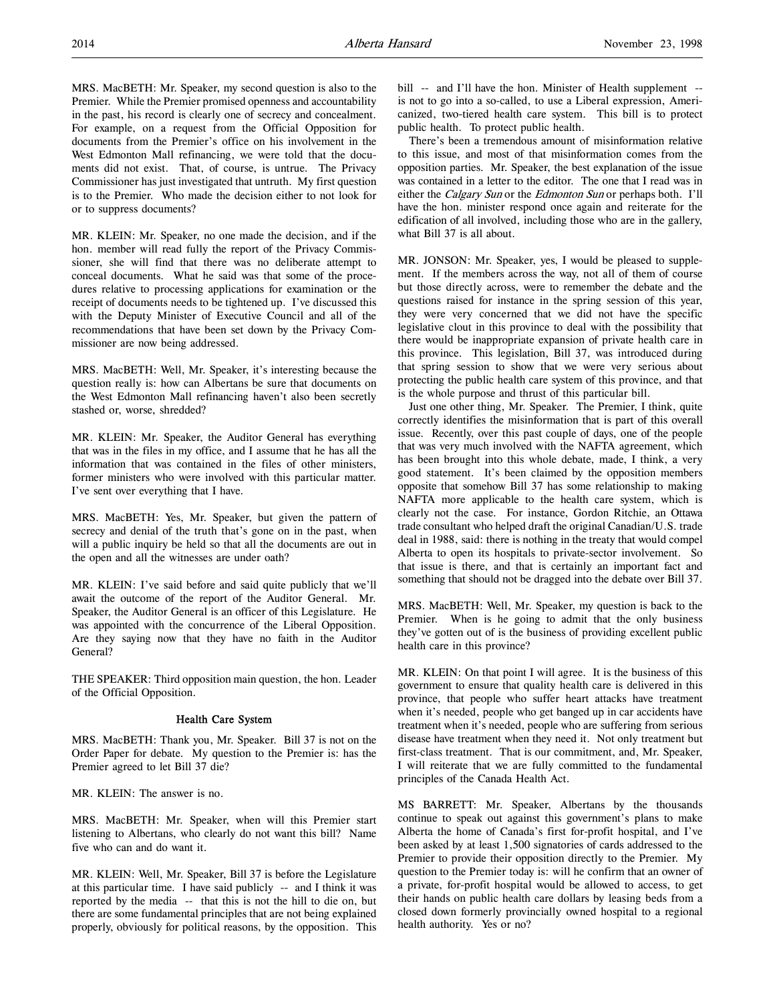MRS. MacBETH: Mr. Speaker, my second question is also to the Premier. While the Premier promised openness and accountability in the past, his record is clearly one of secrecy and concealment. For example, on a request from the Official Opposition for documents from the Premier's office on his involvement in the West Edmonton Mall refinancing, we were told that the documents did not exist. That, of course, is untrue. The Privacy Commissioner has just investigated that untruth. My first question is to the Premier. Who made the decision either to not look for or to suppress documents?

MR. KLEIN: Mr. Speaker, no one made the decision, and if the hon. member will read fully the report of the Privacy Commissioner, she will find that there was no deliberate attempt to conceal documents. What he said was that some of the procedures relative to processing applications for examination or the receipt of documents needs to be tightened up. I've discussed this with the Deputy Minister of Executive Council and all of the recommendations that have been set down by the Privacy Commissioner are now being addressed.

MRS. MacBETH: Well, Mr. Speaker, it's interesting because the question really is: how can Albertans be sure that documents on the West Edmonton Mall refinancing haven't also been secretly stashed or, worse, shredded?

MR. KLEIN: Mr. Speaker, the Auditor General has everything that was in the files in my office, and I assume that he has all the information that was contained in the files of other ministers, former ministers who were involved with this particular matter. I've sent over everything that I have.

MRS. MacBETH: Yes, Mr. Speaker, but given the pattern of secrecy and denial of the truth that's gone on in the past, when will a public inquiry be held so that all the documents are out in the open and all the witnesses are under oath?

MR. KLEIN: I've said before and said quite publicly that we'll await the outcome of the report of the Auditor General. Mr. Speaker, the Auditor General is an officer of this Legislature. He was appointed with the concurrence of the Liberal Opposition. Are they saying now that they have no faith in the Auditor General?

THE SPEAKER: Third opposition main question, the hon. Leader of the Official Opposition.

## Health Care System

MRS. MacBETH: Thank you, Mr. Speaker. Bill 37 is not on the Order Paper for debate. My question to the Premier is: has the Premier agreed to let Bill 37 die?

MR. KLEIN: The answer is no.

MRS. MacBETH: Mr. Speaker, when will this Premier start listening to Albertans, who clearly do not want this bill? Name five who can and do want it.

MR. KLEIN: Well, Mr. Speaker, Bill 37 is before the Legislature at this particular time. I have said publicly -- and I think it was reported by the media -- that this is not the hill to die on, but there are some fundamental principles that are not being explained properly, obviously for political reasons, by the opposition. This

bill -- and I'll have the hon. Minister of Health supplement -is not to go into a so-called, to use a Liberal expression, Americanized, two-tiered health care system. This bill is to protect public health. To protect public health.

There's been a tremendous amount of misinformation relative to this issue, and most of that misinformation comes from the opposition parties. Mr. Speaker, the best explanation of the issue was contained in a letter to the editor. The one that I read was in either the Calgary Sun or the Edmonton Sun or perhaps both. I'll have the hon. minister respond once again and reiterate for the edification of all involved, including those who are in the gallery, what Bill 37 is all about.

MR. JONSON: Mr. Speaker, yes, I would be pleased to supplement. If the members across the way, not all of them of course but those directly across, were to remember the debate and the questions raised for instance in the spring session of this year, they were very concerned that we did not have the specific legislative clout in this province to deal with the possibility that there would be inappropriate expansion of private health care in this province. This legislation, Bill 37, was introduced during that spring session to show that we were very serious about protecting the public health care system of this province, and that is the whole purpose and thrust of this particular bill.

Just one other thing, Mr. Speaker. The Premier, I think, quite correctly identifies the misinformation that is part of this overall issue. Recently, over this past couple of days, one of the people that was very much involved with the NAFTA agreement, which has been brought into this whole debate, made, I think, a very good statement. It's been claimed by the opposition members opposite that somehow Bill 37 has some relationship to making NAFTA more applicable to the health care system, which is clearly not the case. For instance, Gordon Ritchie, an Ottawa trade consultant who helped draft the original Canadian/U.S. trade deal in 1988, said: there is nothing in the treaty that would compel Alberta to open its hospitals to private-sector involvement. So that issue is there, and that is certainly an important fact and something that should not be dragged into the debate over Bill 37.

MRS. MacBETH: Well, Mr. Speaker, my question is back to the Premier. When is he going to admit that the only business they've gotten out of is the business of providing excellent public health care in this province?

MR. KLEIN: On that point I will agree. It is the business of this government to ensure that quality health care is delivered in this province, that people who suffer heart attacks have treatment when it's needed, people who get banged up in car accidents have treatment when it's needed, people who are suffering from serious disease have treatment when they need it. Not only treatment but first-class treatment. That is our commitment, and, Mr. Speaker, I will reiterate that we are fully committed to the fundamental principles of the Canada Health Act.

MS BARRETT: Mr. Speaker, Albertans by the thousands continue to speak out against this government's plans to make Alberta the home of Canada's first for-profit hospital, and I've been asked by at least 1,500 signatories of cards addressed to the Premier to provide their opposition directly to the Premier. My question to the Premier today is: will he confirm that an owner of a private, for-profit hospital would be allowed to access, to get their hands on public health care dollars by leasing beds from a closed down formerly provincially owned hospital to a regional health authority. Yes or no?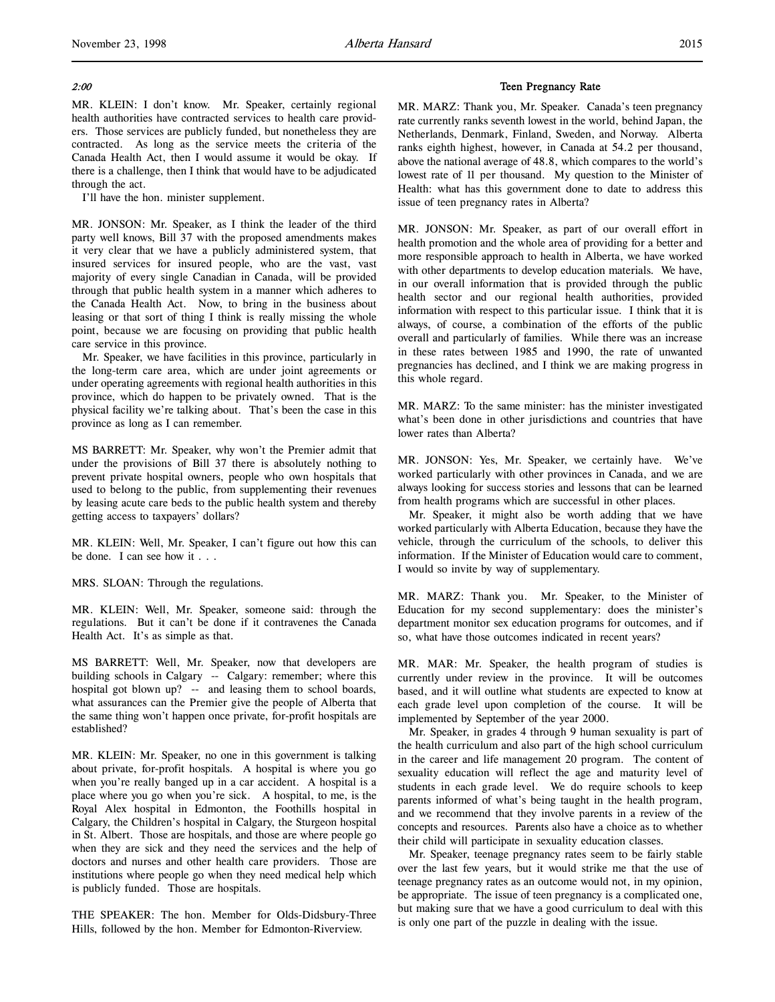## 2:00

MR. KLEIN: I don't know. Mr. Speaker, certainly regional health authorities have contracted services to health care providers. Those services are publicly funded, but nonetheless they are contracted. As long as the service meets the criteria of the Canada Health Act, then I would assume it would be okay. If there is a challenge, then I think that would have to be adjudicated through the act.

I'll have the hon. minister supplement.

MR. JONSON: Mr. Speaker, as I think the leader of the third party well knows, Bill 37 with the proposed amendments makes it very clear that we have a publicly administered system, that insured services for insured people, who are the vast, vast majority of every single Canadian in Canada, will be provided through that public health system in a manner which adheres to the Canada Health Act. Now, to bring in the business about leasing or that sort of thing I think is really missing the whole point, because we are focusing on providing that public health care service in this province.

Mr. Speaker, we have facilities in this province, particularly in the long-term care area, which are under joint agreements or under operating agreements with regional health authorities in this province, which do happen to be privately owned. That is the physical facility we're talking about. That's been the case in this province as long as I can remember.

MS BARRETT: Mr. Speaker, why won't the Premier admit that under the provisions of Bill 37 there is absolutely nothing to prevent private hospital owners, people who own hospitals that used to belong to the public, from supplementing their revenues by leasing acute care beds to the public health system and thereby getting access to taxpayers' dollars?

MR. KLEIN: Well, Mr. Speaker, I can't figure out how this can be done. I can see how it . . .

MRS. SLOAN: Through the regulations.

MR. KLEIN: Well, Mr. Speaker, someone said: through the regulations. But it can't be done if it contravenes the Canada Health Act. It's as simple as that.

MS BARRETT: Well, Mr. Speaker, now that developers are building schools in Calgary -- Calgary: remember; where this hospital got blown up? -- and leasing them to school boards, what assurances can the Premier give the people of Alberta that the same thing won't happen once private, for-profit hospitals are established?

MR. KLEIN: Mr. Speaker, no one in this government is talking about private, for-profit hospitals. A hospital is where you go when you're really banged up in a car accident. A hospital is a place where you go when you're sick. A hospital, to me, is the Royal Alex hospital in Edmonton, the Foothills hospital in Calgary, the Children's hospital in Calgary, the Sturgeon hospital in St. Albert. Those are hospitals, and those are where people go when they are sick and they need the services and the help of doctors and nurses and other health care providers. Those are institutions where people go when they need medical help which is publicly funded. Those are hospitals.

THE SPEAKER: The hon. Member for Olds-Didsbury-Three Hills, followed by the hon. Member for Edmonton-Riverview.

### Teen Pregnancy Rate

MR. MARZ: Thank you, Mr. Speaker. Canada's teen pregnancy rate currently ranks seventh lowest in the world, behind Japan, the Netherlands, Denmark, Finland, Sweden, and Norway. Alberta ranks eighth highest, however, in Canada at 54.2 per thousand, above the national average of 48.8, which compares to the world's lowest rate of 11 per thousand. My question to the Minister of Health: what has this government done to date to address this issue of teen pregnancy rates in Alberta?

MR. JONSON: Mr. Speaker, as part of our overall effort in health promotion and the whole area of providing for a better and more responsible approach to health in Alberta, we have worked with other departments to develop education materials. We have, in our overall information that is provided through the public health sector and our regional health authorities, provided information with respect to this particular issue. I think that it is always, of course, a combination of the efforts of the public overall and particularly of families. While there was an increase in these rates between 1985 and 1990, the rate of unwanted pregnancies has declined, and I think we are making progress in this whole regard.

MR. MARZ: To the same minister: has the minister investigated what's been done in other jurisdictions and countries that have lower rates than Alberta?

MR. JONSON: Yes, Mr. Speaker, we certainly have. We've worked particularly with other provinces in Canada, and we are always looking for success stories and lessons that can be learned from health programs which are successful in other places.

Mr. Speaker, it might also be worth adding that we have worked particularly with Alberta Education, because they have the vehicle, through the curriculum of the schools, to deliver this information. If the Minister of Education would care to comment, I would so invite by way of supplementary.

MR. MARZ: Thank you. Mr. Speaker, to the Minister of Education for my second supplementary: does the minister's department monitor sex education programs for outcomes, and if so, what have those outcomes indicated in recent years?

MR. MAR: Mr. Speaker, the health program of studies is currently under review in the province. It will be outcomes based, and it will outline what students are expected to know at each grade level upon completion of the course. It will be implemented by September of the year 2000.

Mr. Speaker, in grades 4 through 9 human sexuality is part of the health curriculum and also part of the high school curriculum in the career and life management 20 program. The content of sexuality education will reflect the age and maturity level of students in each grade level. We do require schools to keep parents informed of what's being taught in the health program, and we recommend that they involve parents in a review of the concepts and resources. Parents also have a choice as to whether their child will participate in sexuality education classes.

Mr. Speaker, teenage pregnancy rates seem to be fairly stable over the last few years, but it would strike me that the use of teenage pregnancy rates as an outcome would not, in my opinion, be appropriate. The issue of teen pregnancy is a complicated one, but making sure that we have a good curriculum to deal with this is only one part of the puzzle in dealing with the issue.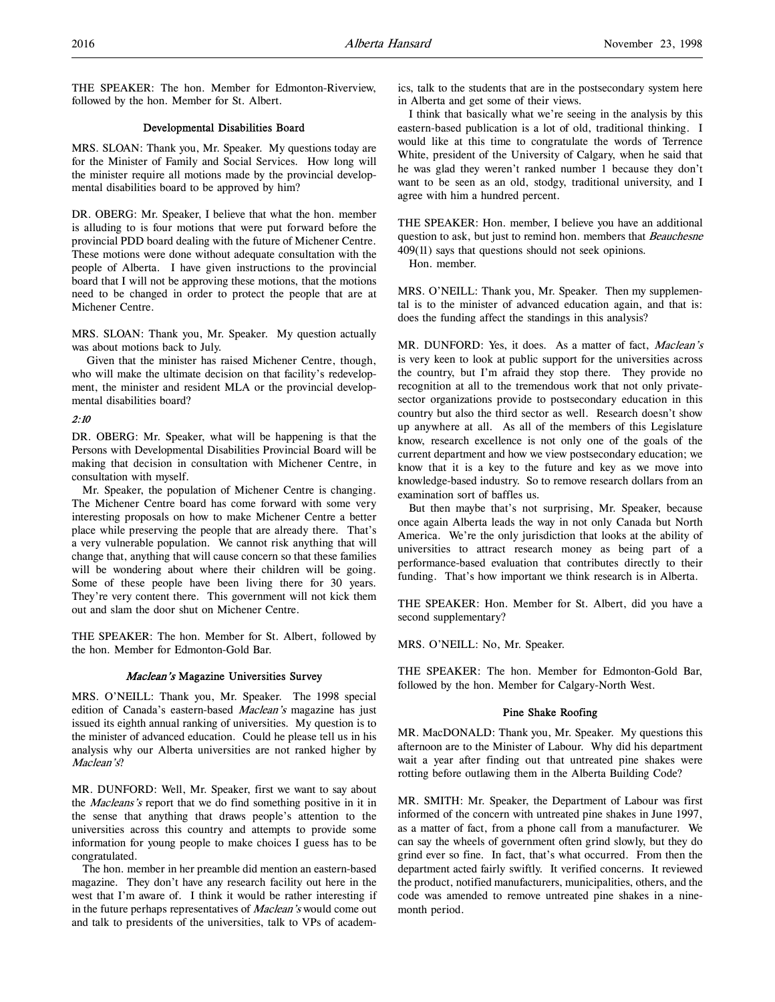THE SPEAKER: The hon. Member for Edmonton-Riverview, followed by the hon. Member for St. Albert.

## Developmental Disabilities Board

MRS. SLOAN: Thank you, Mr. Speaker. My questions today are for the Minister of Family and Social Services. How long will the minister require all motions made by the provincial developmental disabilities board to be approved by him?

DR. OBERG: Mr. Speaker, I believe that what the hon. member is alluding to is four motions that were put forward before the provincial PDD board dealing with the future of Michener Centre. These motions were done without adequate consultation with the people of Alberta. I have given instructions to the provincial board that I will not be approving these motions, that the motions need to be changed in order to protect the people that are at Michener Centre.

MRS. SLOAN: Thank you, Mr. Speaker. My question actually was about motions back to July.

 Given that the minister has raised Michener Centre, though, who will make the ultimate decision on that facility's redevelopment, the minister and resident MLA or the provincial developmental disabilities board?

## 2:10

DR. OBERG: Mr. Speaker, what will be happening is that the Persons with Developmental Disabilities Provincial Board will be making that decision in consultation with Michener Centre, in consultation with myself.

Mr. Speaker, the population of Michener Centre is changing. The Michener Centre board has come forward with some very interesting proposals on how to make Michener Centre a better place while preserving the people that are already there. That's a very vulnerable population. We cannot risk anything that will change that, anything that will cause concern so that these families will be wondering about where their children will be going. Some of these people have been living there for 30 years. They're very content there. This government will not kick them out and slam the door shut on Michener Centre.

THE SPEAKER: The hon. Member for St. Albert, followed by the hon. Member for Edmonton-Gold Bar.

## Maclean's Magazine Universities Survey

MRS. O'NEILL: Thank you, Mr. Speaker. The 1998 special edition of Canada's eastern-based Maclean's magazine has just issued its eighth annual ranking of universities. My question is to the minister of advanced education. Could he please tell us in his analysis why our Alberta universities are not ranked higher by Maclean's?

MR. DUNFORD: Well, Mr. Speaker, first we want to say about the Macleans's report that we do find something positive in it in the sense that anything that draws people's attention to the universities across this country and attempts to provide some information for young people to make choices I guess has to be congratulated.

The hon. member in her preamble did mention an eastern-based magazine. They don't have any research facility out here in the west that I'm aware of. I think it would be rather interesting if in the future perhaps representatives of Maclean's would come out and talk to presidents of the universities, talk to VPs of academics, talk to the students that are in the postsecondary system here in Alberta and get some of their views.

I think that basically what we're seeing in the analysis by this eastern-based publication is a lot of old, traditional thinking. I would like at this time to congratulate the words of Terrence White, president of the University of Calgary, when he said that he was glad they weren't ranked number 1 because they don't want to be seen as an old, stodgy, traditional university, and I agree with him a hundred percent.

THE SPEAKER: Hon. member, I believe you have an additional question to ask, but just to remind hon. members that Beauchesne 409(11) says that questions should not seek opinions.

Hon. member.

MRS. O'NEILL: Thank you, Mr. Speaker. Then my supplemental is to the minister of advanced education again, and that is: does the funding affect the standings in this analysis?

MR. DUNFORD: Yes, it does. As a matter of fact, Maclean's is very keen to look at public support for the universities across the country, but I'm afraid they stop there. They provide no recognition at all to the tremendous work that not only privatesector organizations provide to postsecondary education in this country but also the third sector as well. Research doesn't show up anywhere at all. As all of the members of this Legislature know, research excellence is not only one of the goals of the current department and how we view postsecondary education; we know that it is a key to the future and key as we move into knowledge-based industry. So to remove research dollars from an examination sort of baffles us.

But then maybe that's not surprising, Mr. Speaker, because once again Alberta leads the way in not only Canada but North America. We're the only jurisdiction that looks at the ability of universities to attract research money as being part of a performance-based evaluation that contributes directly to their funding. That's how important we think research is in Alberta.

THE SPEAKER: Hon. Member for St. Albert, did you have a second supplementary?

MRS. O'NEILL: No, Mr. Speaker.

THE SPEAKER: The hon. Member for Edmonton-Gold Bar, followed by the hon. Member for Calgary-North West.

## Pine Shake Roofing

MR. MacDONALD: Thank you, Mr. Speaker. My questions this afternoon are to the Minister of Labour. Why did his department wait a year after finding out that untreated pine shakes were rotting before outlawing them in the Alberta Building Code?

MR. SMITH: Mr. Speaker, the Department of Labour was first informed of the concern with untreated pine shakes in June 1997, as a matter of fact, from a phone call from a manufacturer. We can say the wheels of government often grind slowly, but they do grind ever so fine. In fact, that's what occurred. From then the department acted fairly swiftly. It verified concerns. It reviewed the product, notified manufacturers, municipalities, others, and the code was amended to remove untreated pine shakes in a ninemonth period.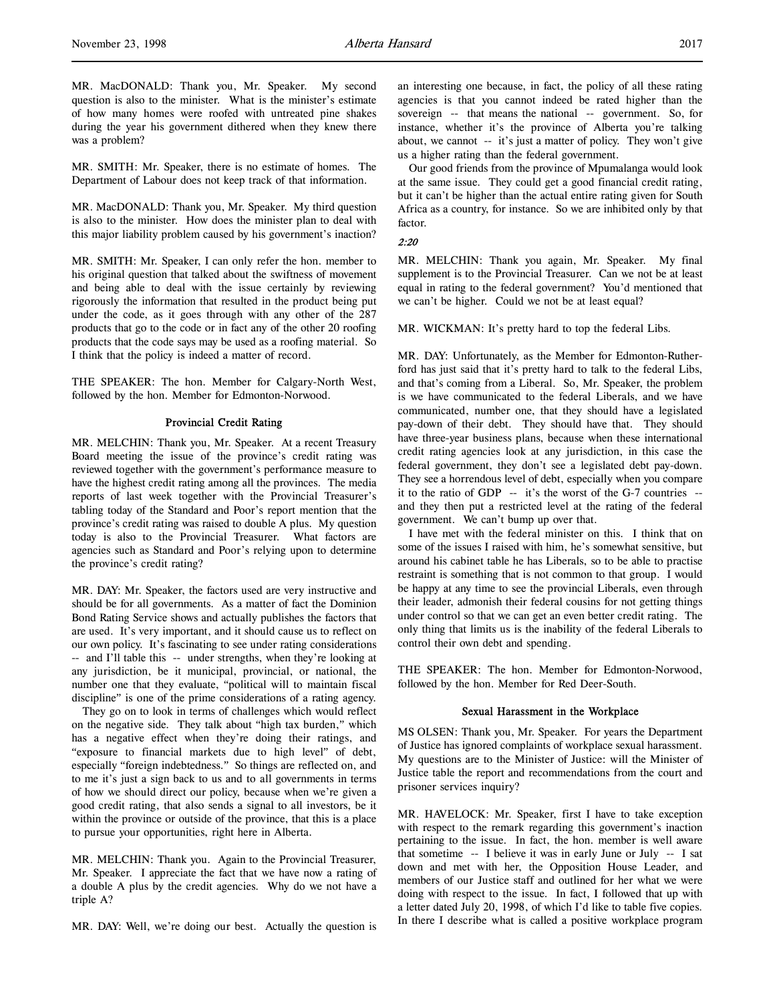MR. MacDONALD: Thank you, Mr. Speaker. My second question is also to the minister. What is the minister's estimate of how many homes were roofed with untreated pine shakes during the year his government dithered when they knew there was a problem?

MR. SMITH: Mr. Speaker, there is no estimate of homes. The Department of Labour does not keep track of that information.

MR. MacDONALD: Thank you, Mr. Speaker. My third question is also to the minister. How does the minister plan to deal with this major liability problem caused by his government's inaction?

MR. SMITH: Mr. Speaker, I can only refer the hon. member to his original question that talked about the swiftness of movement and being able to deal with the issue certainly by reviewing rigorously the information that resulted in the product being put under the code, as it goes through with any other of the 287 products that go to the code or in fact any of the other 20 roofing products that the code says may be used as a roofing material. So I think that the policy is indeed a matter of record.

THE SPEAKER: The hon. Member for Calgary-North West, followed by the hon. Member for Edmonton-Norwood.

### Provincial Credit Rating

MR. MELCHIN: Thank you, Mr. Speaker. At a recent Treasury Board meeting the issue of the province's credit rating was reviewed together with the government's performance measure to have the highest credit rating among all the provinces. The media reports of last week together with the Provincial Treasurer's tabling today of the Standard and Poor's report mention that the province's credit rating was raised to double A plus. My question today is also to the Provincial Treasurer. What factors are agencies such as Standard and Poor's relying upon to determine the province's credit rating?

MR. DAY: Mr. Speaker, the factors used are very instructive and should be for all governments. As a matter of fact the Dominion Bond Rating Service shows and actually publishes the factors that are used. It's very important, and it should cause us to reflect on our own policy. It's fascinating to see under rating considerations -- and I'll table this -- under strengths, when they're looking at any jurisdiction, be it municipal, provincial, or national, the number one that they evaluate, "political will to maintain fiscal discipline" is one of the prime considerations of a rating agency.

They go on to look in terms of challenges which would reflect on the negative side. They talk about "high tax burden," which has a negative effect when they're doing their ratings, and "exposure to financial markets due to high level" of debt, especially "foreign indebtedness." So things are reflected on, and to me it's just a sign back to us and to all governments in terms of how we should direct our policy, because when we're given a good credit rating, that also sends a signal to all investors, be it within the province or outside of the province, that this is a place to pursue your opportunities, right here in Alberta.

MR. MELCHIN: Thank you. Again to the Provincial Treasurer, Mr. Speaker. I appreciate the fact that we have now a rating of a double A plus by the credit agencies. Why do we not have a triple A?

MR. DAY: Well, we're doing our best. Actually the question is

an interesting one because, in fact, the policy of all these rating agencies is that you cannot indeed be rated higher than the sovereign -- that means the national -- government. So, for instance, whether it's the province of Alberta you're talking about, we cannot -- it's just a matter of policy. They won't give us a higher rating than the federal government.

Our good friends from the province of Mpumalanga would look at the same issue. They could get a good financial credit rating, but it can't be higher than the actual entire rating given for South Africa as a country, for instance. So we are inhibited only by that factor.

### $2.20$

MR. MELCHIN: Thank you again, Mr. Speaker. My final supplement is to the Provincial Treasurer. Can we not be at least equal in rating to the federal government? You'd mentioned that we can't be higher. Could we not be at least equal?

MR. WICKMAN: It's pretty hard to top the federal Libs.

MR. DAY: Unfortunately, as the Member for Edmonton-Rutherford has just said that it's pretty hard to talk to the federal Libs, and that's coming from a Liberal. So, Mr. Speaker, the problem is we have communicated to the federal Liberals, and we have communicated, number one, that they should have a legislated pay-down of their debt. They should have that. They should have three-year business plans, because when these international credit rating agencies look at any jurisdiction, in this case the federal government, they don't see a legislated debt pay-down. They see a horrendous level of debt, especially when you compare it to the ratio of GDP -- it's the worst of the G-7 countries - and they then put a restricted level at the rating of the federal government. We can't bump up over that.

I have met with the federal minister on this. I think that on some of the issues I raised with him, he's somewhat sensitive, but around his cabinet table he has Liberals, so to be able to practise restraint is something that is not common to that group. I would be happy at any time to see the provincial Liberals, even through their leader, admonish their federal cousins for not getting things under control so that we can get an even better credit rating. The only thing that limits us is the inability of the federal Liberals to control their own debt and spending.

THE SPEAKER: The hon. Member for Edmonton-Norwood, followed by the hon. Member for Red Deer-South.

### Sexual Harassment in the Workplace

MS OLSEN: Thank you, Mr. Speaker. For years the Department of Justice has ignored complaints of workplace sexual harassment. My questions are to the Minister of Justice: will the Minister of Justice table the report and recommendations from the court and prisoner services inquiry?

MR. HAVELOCK: Mr. Speaker, first I have to take exception with respect to the remark regarding this government's inaction pertaining to the issue. In fact, the hon. member is well aware that sometime -- I believe it was in early June or July -- I sat down and met with her, the Opposition House Leader, and members of our Justice staff and outlined for her what we were doing with respect to the issue. In fact, I followed that up with a letter dated July 20, 1998, of which I'd like to table five copies. In there I describe what is called a positive workplace program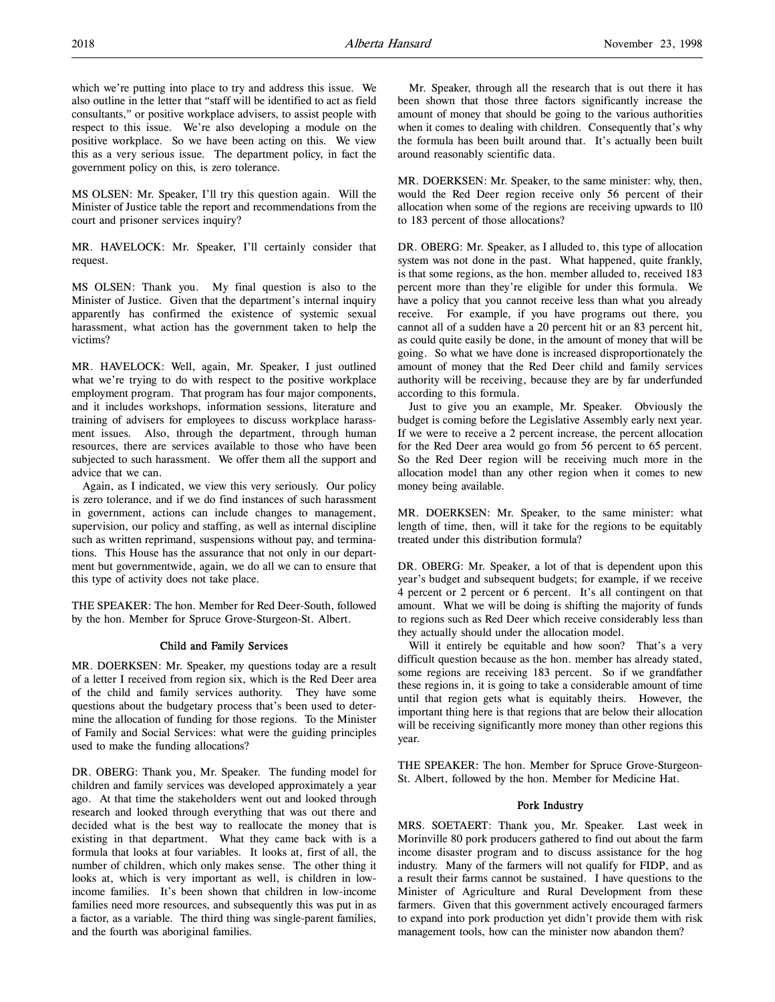MS OLSEN: Mr. Speaker, I'll try this question again. Will the Minister of Justice table the report and recommendations from the court and prisoner services inquiry?

MR. HAVELOCK: Mr. Speaker, I'll certainly consider that request.

MS OLSEN: Thank you. My final question is also to the Minister of Justice. Given that the department's internal inquiry apparently has confirmed the existence of systemic sexual harassment, what action has the government taken to help the victims?

MR. HAVELOCK: Well, again, Mr. Speaker, I just outlined what we're trying to do with respect to the positive workplace employment program. That program has four major components, and it includes workshops, information sessions, literature and training of advisers for employees to discuss workplace harassment issues. Also, through the department, through human resources, there are services available to those who have been subjected to such harassment. We offer them all the support and advice that we can.

Again, as I indicated, we view this very seriously. Our policy is zero tolerance, and if we do find instances of such harassment in government, actions can include changes to management, supervision, our policy and staffing, as well as internal discipline such as written reprimand, suspensions without pay, and terminations. This House has the assurance that not only in our department but governmentwide, again, we do all we can to ensure that this type of activity does not take place.

THE SPEAKER: The hon. Member for Red Deer-South, followed by the hon. Member for Spruce Grove-Sturgeon-St. Albert.

## Child and Family Services

MR. DOERKSEN: Mr. Speaker, my questions today are a result of a letter I received from region six, which is the Red Deer area of the child and family services authority. They have some questions about the budgetary process that's been used to determine the allocation of funding for those regions. To the Minister of Family and Social Services: what were the guiding principles used to make the funding allocations?

DR. OBERG: Thank you, Mr. Speaker. The funding model for children and family services was developed approximately a year ago. At that time the stakeholders went out and looked through research and looked through everything that was out there and decided what is the best way to reallocate the money that is existing in that department. What they came back with is a formula that looks at four variables. It looks at, first of all, the number of children, which only makes sense. The other thing it looks at, which is very important as well, is children in lowincome families. It's been shown that children in low-income families need more resources, and subsequently this was put in as a factor, as a variable. The third thing was single-parent families, and the fourth was aboriginal families.

Mr. Speaker, through all the research that is out there it has been shown that those three factors significantly increase the amount of money that should be going to the various authorities when it comes to dealing with children. Consequently that's why the formula has been built around that. It's actually been built around reasonably scientific data.

MR. DOERKSEN: Mr. Speaker, to the same minister: why, then, would the Red Deer region receive only 56 percent of their allocation when some of the regions are receiving upwards to 110 to 183 percent of those allocations?

DR. OBERG: Mr. Speaker, as I alluded to, this type of allocation system was not done in the past. What happened, quite frankly, is that some regions, as the hon. member alluded to, received 183 percent more than they're eligible for under this formula. We have a policy that you cannot receive less than what you already receive. For example, if you have programs out there, you cannot all of a sudden have a 20 percent hit or an 83 percent hit, as could quite easily be done, in the amount of money that will be going. So what we have done is increased disproportionately the amount of money that the Red Deer child and family services authority will be receiving, because they are by far underfunded according to this formula.

Just to give you an example, Mr. Speaker. Obviously the budget is coming before the Legislative Assembly early next year. If we were to receive a 2 percent increase, the percent allocation for the Red Deer area would go from 56 percent to 65 percent. So the Red Deer region will be receiving much more in the allocation model than any other region when it comes to new money being available.

MR. DOERKSEN: Mr. Speaker, to the same minister: what length of time, then, will it take for the regions to be equitably treated under this distribution formula?

DR. OBERG: Mr. Speaker, a lot of that is dependent upon this year's budget and subsequent budgets; for example, if we receive 4 percent or 2 percent or 6 percent. It's all contingent on that amount. What we will be doing is shifting the majority of funds to regions such as Red Deer which receive considerably less than they actually should under the allocation model.

Will it entirely be equitable and how soon? That's a very difficult question because as the hon. member has already stated, some regions are receiving 183 percent. So if we grandfather these regions in, it is going to take a considerable amount of time until that region gets what is equitably theirs. However, the important thing here is that regions that are below their allocation will be receiving significantly more money than other regions this year.

THE SPEAKER: The hon. Member for Spruce Grove-Sturgeon-St. Albert, followed by the hon. Member for Medicine Hat.

## Pork Industry

MRS. SOETAERT: Thank you, Mr. Speaker. Last week in Morinville 80 pork producers gathered to find out about the farm income disaster program and to discuss assistance for the hog industry. Many of the farmers will not qualify for FIDP, and as a result their farms cannot be sustained. I have questions to the Minister of Agriculture and Rural Development from these farmers. Given that this government actively encouraged farmers to expand into pork production yet didn't provide them with risk management tools, how can the minister now abandon them?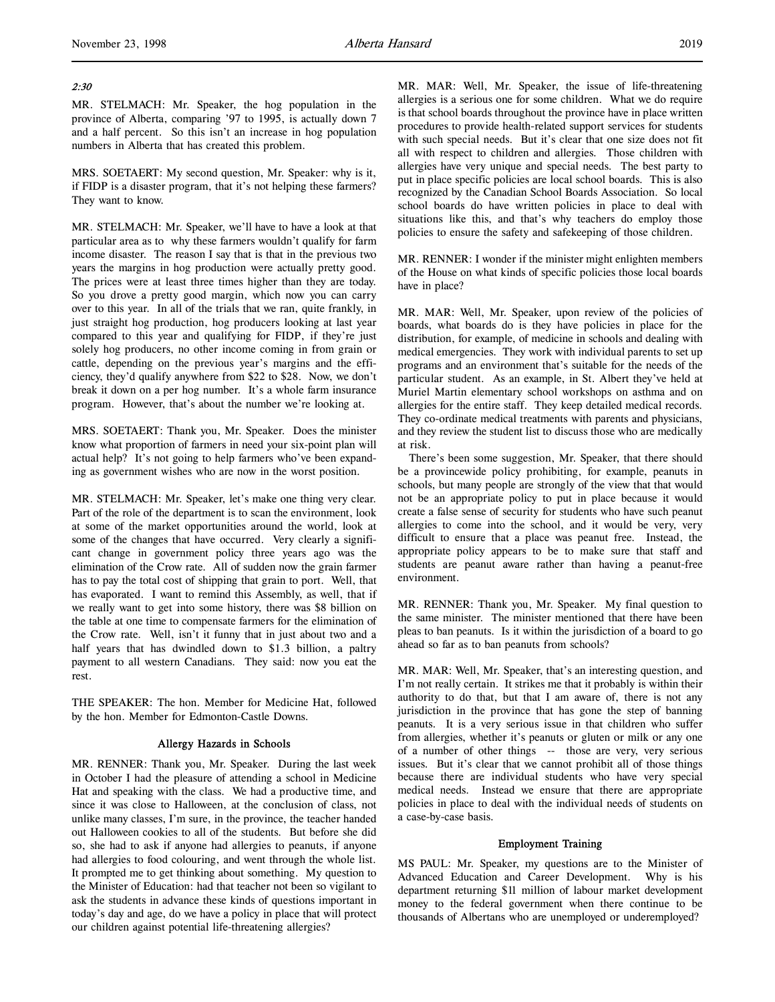# 2:30

MR. STELMACH: Mr. Speaker, the hog population in the province of Alberta, comparing '97 to 1995, is actually down 7 and a half percent. So this isn't an increase in hog population numbers in Alberta that has created this problem.

MRS. SOETAERT: My second question, Mr. Speaker: why is it, if FIDP is a disaster program, that it's not helping these farmers? They want to know.

MR. STELMACH: Mr. Speaker, we'll have to have a look at that particular area as to why these farmers wouldn't qualify for farm income disaster. The reason I say that is that in the previous two years the margins in hog production were actually pretty good. The prices were at least three times higher than they are today. So you drove a pretty good margin, which now you can carry over to this year. In all of the trials that we ran, quite frankly, in just straight hog production, hog producers looking at last year compared to this year and qualifying for FIDP, if they're just solely hog producers, no other income coming in from grain or cattle, depending on the previous year's margins and the efficiency, they'd qualify anywhere from \$22 to \$28. Now, we don't break it down on a per hog number. It's a whole farm insurance program. However, that's about the number we're looking at.

MRS. SOETAERT: Thank you, Mr. Speaker. Does the minister know what proportion of farmers in need your six-point plan will actual help? It's not going to help farmers who've been expanding as government wishes who are now in the worst position.

MR. STELMACH: Mr. Speaker, let's make one thing very clear. Part of the role of the department is to scan the environment, look at some of the market opportunities around the world, look at some of the changes that have occurred. Very clearly a significant change in government policy three years ago was the elimination of the Crow rate. All of sudden now the grain farmer has to pay the total cost of shipping that grain to port. Well, that has evaporated. I want to remind this Assembly, as well, that if we really want to get into some history, there was \$8 billion on the table at one time to compensate farmers for the elimination of the Crow rate. Well, isn't it funny that in just about two and a half years that has dwindled down to \$1.3 billion, a paltry payment to all western Canadians. They said: now you eat the rest.

THE SPEAKER: The hon. Member for Medicine Hat, followed by the hon. Member for Edmonton-Castle Downs.

### Allergy Hazards in Schools

MR. RENNER: Thank you, Mr. Speaker. During the last week in October I had the pleasure of attending a school in Medicine Hat and speaking with the class. We had a productive time, and since it was close to Halloween, at the conclusion of class, not unlike many classes, I'm sure, in the province, the teacher handed out Halloween cookies to all of the students. But before she did so, she had to ask if anyone had allergies to peanuts, if anyone had allergies to food colouring, and went through the whole list. It prompted me to get thinking about something. My question to the Minister of Education: had that teacher not been so vigilant to ask the students in advance these kinds of questions important in today's day and age, do we have a policy in place that will protect our children against potential life-threatening allergies?

MR. MAR: Well, Mr. Speaker, the issue of life-threatening allergies is a serious one for some children. What we do require is that school boards throughout the province have in place written procedures to provide health-related support services for students with such special needs. But it's clear that one size does not fit all with respect to children and allergies. Those children with allergies have very unique and special needs. The best party to put in place specific policies are local school boards. This is also recognized by the Canadian School Boards Association. So local school boards do have written policies in place to deal with situations like this, and that's why teachers do employ those policies to ensure the safety and safekeeping of those children.

MR. RENNER: I wonder if the minister might enlighten members of the House on what kinds of specific policies those local boards have in place?

MR. MAR: Well, Mr. Speaker, upon review of the policies of boards, what boards do is they have policies in place for the distribution, for example, of medicine in schools and dealing with medical emergencies. They work with individual parents to set up programs and an environment that's suitable for the needs of the particular student. As an example, in St. Albert they've held at Muriel Martin elementary school workshops on asthma and on allergies for the entire staff. They keep detailed medical records. They co-ordinate medical treatments with parents and physicians, and they review the student list to discuss those who are medically at risk.

There's been some suggestion, Mr. Speaker, that there should be a provincewide policy prohibiting, for example, peanuts in schools, but many people are strongly of the view that that would not be an appropriate policy to put in place because it would create a false sense of security for students who have such peanut allergies to come into the school, and it would be very, very difficult to ensure that a place was peanut free. Instead, the appropriate policy appears to be to make sure that staff and students are peanut aware rather than having a peanut-free environment.

MR. RENNER: Thank you, Mr. Speaker. My final question to the same minister. The minister mentioned that there have been pleas to ban peanuts. Is it within the jurisdiction of a board to go ahead so far as to ban peanuts from schools?

MR. MAR: Well, Mr. Speaker, that's an interesting question, and I'm not really certain. It strikes me that it probably is within their authority to do that, but that I am aware of, there is not any jurisdiction in the province that has gone the step of banning peanuts. It is a very serious issue in that children who suffer from allergies, whether it's peanuts or gluten or milk or any one of a number of other things -- those are very, very serious issues. But it's clear that we cannot prohibit all of those things because there are individual students who have very special medical needs. Instead we ensure that there are appropriate policies in place to deal with the individual needs of students on a case-by-case basis.

### Employment Training

MS PAUL: Mr. Speaker, my questions are to the Minister of Advanced Education and Career Development. Why is his department returning \$11 million of labour market development money to the federal government when there continue to be thousands of Albertans who are unemployed or underemployed?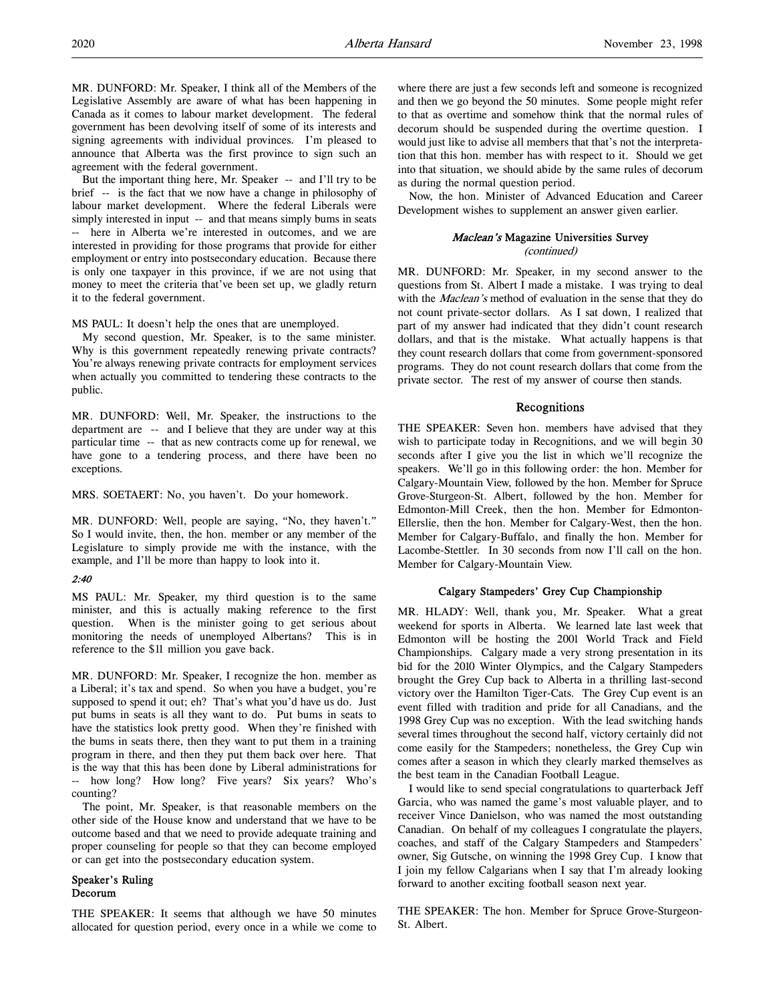MR. DUNFORD: Mr. Speaker, I think all of the Members of the Legislative Assembly are aware of what has been happening in Canada as it comes to labour market development. The federal government has been devolving itself of some of its interests and signing agreements with individual provinces. I'm pleased to announce that Alberta was the first province to sign such an agreement with the federal government.

But the important thing here, Mr. Speaker -- and I'll try to be brief -- is the fact that we now have a change in philosophy of labour market development. Where the federal Liberals were simply interested in input -- and that means simply bums in seats -- here in Alberta we're interested in outcomes, and we are interested in providing for those programs that provide for either employment or entry into postsecondary education. Because there is only one taxpayer in this province, if we are not using that money to meet the criteria that've been set up, we gladly return it to the federal government.

MS PAUL: It doesn't help the ones that are unemployed.

My second question, Mr. Speaker, is to the same minister. Why is this government repeatedly renewing private contracts? You're always renewing private contracts for employment services when actually you committed to tendering these contracts to the public.

MR. DUNFORD: Well, Mr. Speaker, the instructions to the department are -- and I believe that they are under way at this particular time -- that as new contracts come up for renewal, we have gone to a tendering process, and there have been no exceptions.

MRS. SOETAERT: No, you haven't. Do your homework.

MR. DUNFORD: Well, people are saying, "No, they haven't." So I would invite, then, the hon. member or any member of the Legislature to simply provide me with the instance, with the example, and I'll be more than happy to look into it.

## 2:40

MS PAUL: Mr. Speaker, my third question is to the same minister, and this is actually making reference to the first question. When is the minister going to get serious about monitoring the needs of unemployed Albertans? This is in reference to the \$11 million you gave back.

MR. DUNFORD: Mr. Speaker, I recognize the hon. member as a Liberal; it's tax and spend. So when you have a budget, you're supposed to spend it out; eh? That's what you'd have us do. Just put bums in seats is all they want to do. Put bums in seats to have the statistics look pretty good. When they're finished with the bums in seats there, then they want to put them in a training program in there, and then they put them back over here. That is the way that this has been done by Liberal administrations for -- how long? How long? Five years? Six years? Who's counting?

The point, Mr. Speaker, is that reasonable members on the other side of the House know and understand that we have to be outcome based and that we need to provide adequate training and proper counseling for people so that they can become employed or can get into the postsecondary education system.

### Speaker's Ruling Decorum

THE SPEAKER: It seems that although we have 50 minutes allocated for question period, every once in a while we come to where there are just a few seconds left and someone is recognized and then we go beyond the 50 minutes. Some people might refer to that as overtime and somehow think that the normal rules of decorum should be suspended during the overtime question. I would just like to advise all members that that's not the interpretation that this hon. member has with respect to it. Should we get into that situation, we should abide by the same rules of decorum as during the normal question period.

Now, the hon. Minister of Advanced Education and Career Development wishes to supplement an answer given earlier.

# Maclean's Magazine Universities Survey

(continued)

MR. DUNFORD: Mr. Speaker, in my second answer to the questions from St. Albert I made a mistake. I was trying to deal with the *Maclean's* method of evaluation in the sense that they do not count private-sector dollars. As I sat down, I realized that part of my answer had indicated that they didn't count research dollars, and that is the mistake. What actually happens is that they count research dollars that come from government-sponsored programs. They do not count research dollars that come from the private sector. The rest of my answer of course then stands.

## Recognitions

THE SPEAKER: Seven hon. members have advised that they wish to participate today in Recognitions, and we will begin 30 seconds after I give you the list in which we'll recognize the speakers. We'll go in this following order: the hon. Member for Calgary-Mountain View, followed by the hon. Member for Spruce Grove-Sturgeon-St. Albert, followed by the hon. Member for Edmonton-Mill Creek, then the hon. Member for Edmonton-Ellerslie, then the hon. Member for Calgary-West, then the hon. Member for Calgary-Buffalo, and finally the hon. Member for Lacombe-Stettler. In 30 seconds from now I'll call on the hon. Member for Calgary-Mountain View.

# Calgary Stampeders' Grey Cup Championship

MR. HLADY: Well, thank you, Mr. Speaker. What a great weekend for sports in Alberta. We learned late last week that Edmonton will be hosting the 2001 World Track and Field Championships. Calgary made a very strong presentation in its bid for the 2010 Winter Olympics, and the Calgary Stampeders brought the Grey Cup back to Alberta in a thrilling last-second victory over the Hamilton Tiger-Cats. The Grey Cup event is an event filled with tradition and pride for all Canadians, and the 1998 Grey Cup was no exception. With the lead switching hands several times throughout the second half, victory certainly did not come easily for the Stampeders; nonetheless, the Grey Cup win comes after a season in which they clearly marked themselves as the best team in the Canadian Football League.

I would like to send special congratulations to quarterback Jeff Garcia, who was named the game's most valuable player, and to receiver Vince Danielson, who was named the most outstanding Canadian. On behalf of my colleagues I congratulate the players, coaches, and staff of the Calgary Stampeders and Stampeders' owner, Sig Gutsche, on winning the 1998 Grey Cup. I know that I join my fellow Calgarians when I say that I'm already looking forward to another exciting football season next year.

THE SPEAKER: The hon. Member for Spruce Grove-Sturgeon-St. Albert.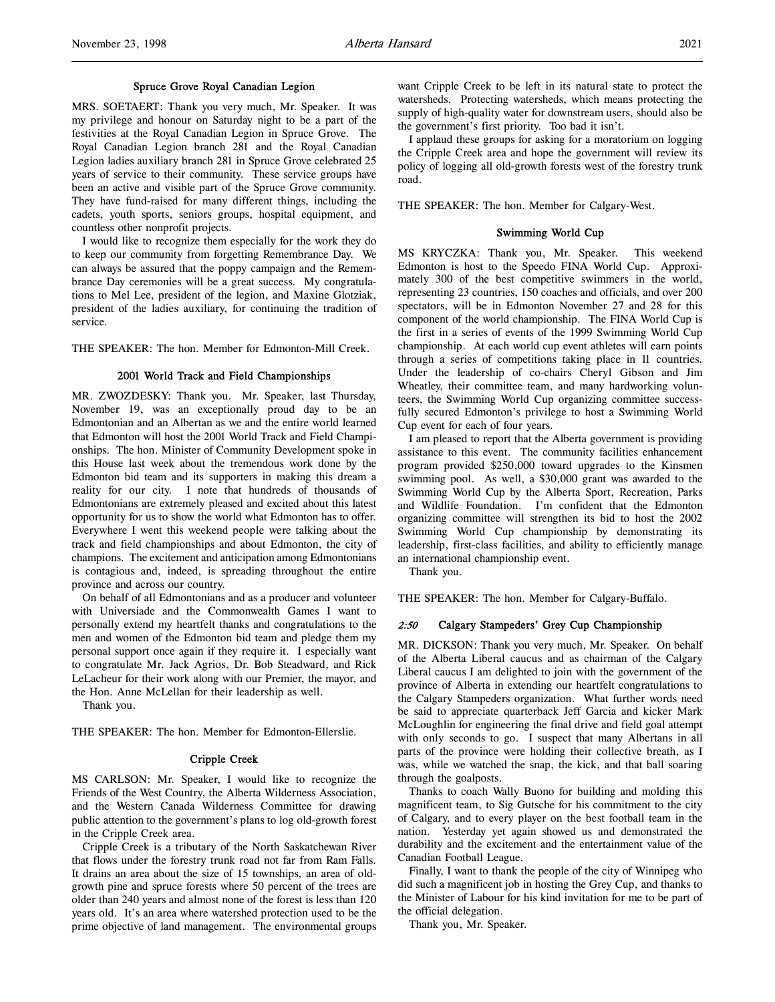### Spruce Grove Royal Canadian Legion

MRS. SOETAERT: Thank you very much, Mr. Speaker. It was my privilege and honour on Saturday night to be a part of the festivities at the Royal Canadian Legion in Spruce Grove. The Royal Canadian Legion branch 281 and the Royal Canadian Legion ladies auxiliary branch 281 in Spruce Grove celebrated 25 years of service to their community. These service groups have been an active and visible part of the Spruce Grove community. They have fund-raised for many different things, including the cadets, youth sports, seniors groups, hospital equipment, and countless other nonprofit projects.

I would like to recognize them especially for the work they do to keep our community from forgetting Remembrance Day. We can always be assured that the poppy campaign and the Remembrance Day ceremonies will be a great success. My congratulations to Mel Lee, president of the legion, and Maxine Glotziak, president of the ladies auxiliary, for continuing the tradition of service.

THE SPEAKER: The hon. Member for Edmonton-Mill Creek.

### 2001 World Track and Field Championships

MR. ZWOZDESKY: Thank you. Mr. Speaker, last Thursday, November 19, was an exceptionally proud day to be an Edmontonian and an Albertan as we and the entire world learned that Edmonton will host the 2001 World Track and Field Championships. The hon. Minister of Community Development spoke in this House last week about the tremendous work done by the Edmonton bid team and its supporters in making this dream a reality for our city. I note that hundreds of thousands of Edmontonians are extremely pleased and excited about this latest opportunity for us to show the world what Edmonton has to offer. Everywhere I went this weekend people were talking about the track and field championships and about Edmonton, the city of champions. The excitement and anticipation among Edmontonians is contagious and, indeed, is spreading throughout the entire province and across our country.

On behalf of all Edmontonians and as a producer and volunteer with Universiade and the Commonwealth Games I want to personally extend my heartfelt thanks and congratulations to the men and women of the Edmonton bid team and pledge them my personal support once again if they require it. I especially want to congratulate Mr. Jack Agrios, Dr. Bob Steadward, and Rick LeLacheur for their work along with our Premier, the mayor, and the Hon. Anne McLellan for their leadership as well.

Thank you.

THE SPEAKER: The hon. Member for Edmonton-Ellerslie.

# Cripple Creek

MS CARLSON: Mr. Speaker, I would like to recognize the Friends of the West Country, the Alberta Wilderness Association, and the Western Canada Wilderness Committee for drawing public attention to the government's plans to log old-growth forest in the Cripple Creek area.

Cripple Creek is a tributary of the North Saskatchewan River that flows under the forestry trunk road not far from Ram Falls. It drains an area about the size of 15 townships, an area of oldgrowth pine and spruce forests where 50 percent of the trees are older than 240 years and almost none of the forest is less than 120 years old. It's an area where watershed protection used to be the prime objective of land management. The environmental groups want Cripple Creek to be left in its natural state to protect the watersheds. Protecting watersheds, which means protecting the supply of high-quality water for downstream users, should also be the government's first priority. Too bad it isn't.

I applaud these groups for asking for a moratorium on logging the Cripple Creek area and hope the government will review its policy of logging all old-growth forests west of the forestry trunk road.

THE SPEAKER: The hon. Member for Calgary-West.

#### Swimming World Cup

MS KRYCZKA: Thank you, Mr. Speaker. This weekend Edmonton is host to the Speedo FINA World Cup. Approximately 300 of the best competitive swimmers in the world, representing 23 countries, 150 coaches and officials, and over 200 spectators, will be in Edmonton November 27 and 28 for this component of the world championship. The FINA World Cup is the first in a series of events of the 1999 Swimming World Cup championship. At each world cup event athletes will earn points through a series of competitions taking place in 11 countries. Under the leadership of co-chairs Cheryl Gibson and Jim Wheatley, their committee team, and many hardworking volunteers, the Swimming World Cup organizing committee successfully secured Edmonton's privilege to host a Swimming World Cup event for each of four years.

I am pleased to report that the Alberta government is providing assistance to this event. The community facilities enhancement program provided \$250,000 toward upgrades to the Kinsmen swimming pool. As well, a \$30,000 grant was awarded to the Swimming World Cup by the Alberta Sport, Recreation, Parks and Wildlife Foundation. I'm confident that the Edmonton organizing committee will strengthen its bid to host the 2002 Swimming World Cup championship by demonstrating its leadership, first-class facilities, and ability to efficiently manage an international championship event.

Thank you.

THE SPEAKER: The hon. Member for Calgary-Buffalo.

## 2:50 Calgary Stampeders' Grey Cup Championship

MR. DICKSON: Thank you very much, Mr. Speaker. On behalf of the Alberta Liberal caucus and as chairman of the Calgary Liberal caucus I am delighted to join with the government of the province of Alberta in extending our heartfelt congratulations to the Calgary Stampeders organization. What further words need be said to appreciate quarterback Jeff Garcia and kicker Mark McLoughlin for engineering the final drive and field goal attempt with only seconds to go. I suspect that many Albertans in all parts of the province were holding their collective breath, as I was, while we watched the snap, the kick, and that ball soaring through the goalposts.

Thanks to coach Wally Buono for building and molding this magnificent team, to Sig Gutsche for his commitment to the city of Calgary, and to every player on the best football team in the nation. Yesterday yet again showed us and demonstrated the durability and the excitement and the entertainment value of the Canadian Football League.

Finally, I want to thank the people of the city of Winnipeg who did such a magnificent job in hosting the Grey Cup, and thanks to the Minister of Labour for his kind invitation for me to be part of the official delegation.

Thank you, Mr. Speaker.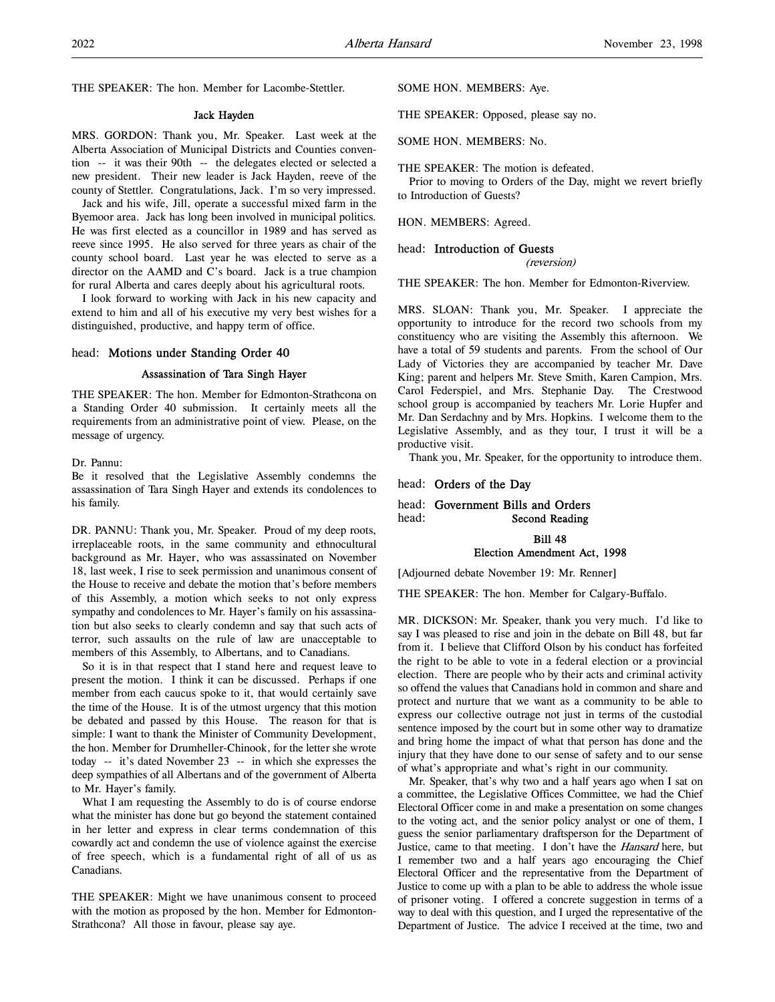THE SPEAKER: The hon. Member for Lacombe-Stettler.

#### Jack Hayden

MRS. GORDON: Thank you, Mr. Speaker. Last week at the Alberta Association of Municipal Districts and Counties convention -- it was their 90th -- the delegates elected or selected a new president. Their new leader is Jack Hayden, reeve of the county of Stettler. Congratulations, Jack. I'm so very impressed.

Jack and his wife, Jill, operate a successful mixed farm in the Byemoor area. Jack has long been involved in municipal politics. He was first elected as a councillor in 1989 and has served as reeve since 1995. He also served for three years as chair of the county school board. Last year he was elected to serve as a director on the AAMD and C's board. Jack is a true champion for rural Alberta and cares deeply about his agricultural roots.

I look forward to working with Jack in his new capacity and extend to him and all of his executive my very best wishes for a distinguished, productive, and happy term of office.

## head: Motions under Standing Order 40

## Assassination of Tara Singh Hayer

THE SPEAKER: The hon. Member for Edmonton-Strathcona on a Standing Order 40 submission. It certainly meets all the requirements from an administrative point of view. Please, on the message of urgency.

Dr. Pannu:

Be it resolved that the Legislative Assembly condemns the assassination of Tara Singh Hayer and extends its condolences to his family.

DR. PANNU: Thank you, Mr. Speaker. Proud of my deep roots, irreplaceable roots, in the same community and ethnocultural background as Mr. Hayer, who was assassinated on November 18, last week, I rise to seek permission and unanimous consent of the House to receive and debate the motion that's before members of this Assembly, a motion which seeks to not only express sympathy and condolences to Mr. Hayer's family on his assassination but also seeks to clearly condemn and say that such acts of terror, such assaults on the rule of law are unacceptable to members of this Assembly, to Albertans, and to Canadians.

So it is in that respect that I stand here and request leave to present the motion. I think it can be discussed. Perhaps if one member from each caucus spoke to it, that would certainly save the time of the House. It is of the utmost urgency that this motion be debated and passed by this House. The reason for that is simple: I want to thank the Minister of Community Development, the hon. Member for Drumheller-Chinook, for the letter she wrote today -- it's dated November 23 -- in which she expresses the deep sympathies of all Albertans and of the government of Alberta to Mr. Hayer's family.

What I am requesting the Assembly to do is of course endorse what the minister has done but go beyond the statement contained in her letter and express in clear terms condemnation of this cowardly act and condemn the use of violence against the exercise of free speech, which is a fundamental right of all of us as Canadians.

THE SPEAKER: Might we have unanimous consent to proceed with the motion as proposed by the hon. Member for Edmonton-Strathcona? All those in favour, please say aye.

### SOME HON. MEMBERS: Aye.

THE SPEAKER: Opposed, please say no.

SOME HON. MEMBERS: No.

THE SPEAKER: The motion is defeated.

Prior to moving to Orders of the Day, might we revert briefly to Introduction of Guests?

HON. MEMBERS: Agreed.

### head: Introduction of Guests

(reversion)

THE SPEAKER: The hon. Member for Edmonton-Riverview.

MRS. SLOAN: Thank you, Mr. Speaker. I appreciate the opportunity to introduce for the record two schools from my constituency who are visiting the Assembly this afternoon. We have a total of 59 students and parents. From the school of Our Lady of Victories they are accompanied by teacher Mr. Dave King; parent and helpers Mr. Steve Smith, Karen Campion, Mrs. Carol Federspiel, and Mrs. Stephanie Day. The Crestwood school group is accompanied by teachers Mr. Lorie Hupfer and Mr. Dan Serdachny and by Mrs. Hopkins. I welcome them to the Legislative Assembly, and as they tour, I trust it will be a productive visit.

Thank you, Mr. Speaker, for the opportunity to introduce them.

### head: Orders of the Day

head: Government Bills and Orders head: Second Reading

## Bill 48 Election Amendment Act, 1998

[Adjourned debate November 19: Mr. Renner]

THE SPEAKER: The hon. Member for Calgary-Buffalo.

MR. DICKSON: Mr. Speaker, thank you very much. I'd like to say I was pleased to rise and join in the debate on Bill 48, but far from it. I believe that Clifford Olson by his conduct has forfeited the right to be able to vote in a federal election or a provincial election. There are people who by their acts and criminal activity so offend the values that Canadians hold in common and share and protect and nurture that we want as a community to be able to express our collective outrage not just in terms of the custodial sentence imposed by the court but in some other way to dramatize and bring home the impact of what that person has done and the injury that they have done to our sense of safety and to our sense of what's appropriate and what's right in our community.

Mr. Speaker, that's why two and a half years ago when I sat on a committee, the Legislative Offices Committee, we had the Chief Electoral Officer come in and make a presentation on some changes to the voting act, and the senior policy analyst or one of them, I guess the senior parliamentary draftsperson for the Department of Justice, came to that meeting. I don't have the *Hansard* here, but I remember two and a half years ago encouraging the Chief Electoral Officer and the representative from the Department of Justice to come up with a plan to be able to address the whole issue of prisoner voting. I offered a concrete suggestion in terms of a way to deal with this question, and I urged the representative of the Department of Justice. The advice I received at the time, two and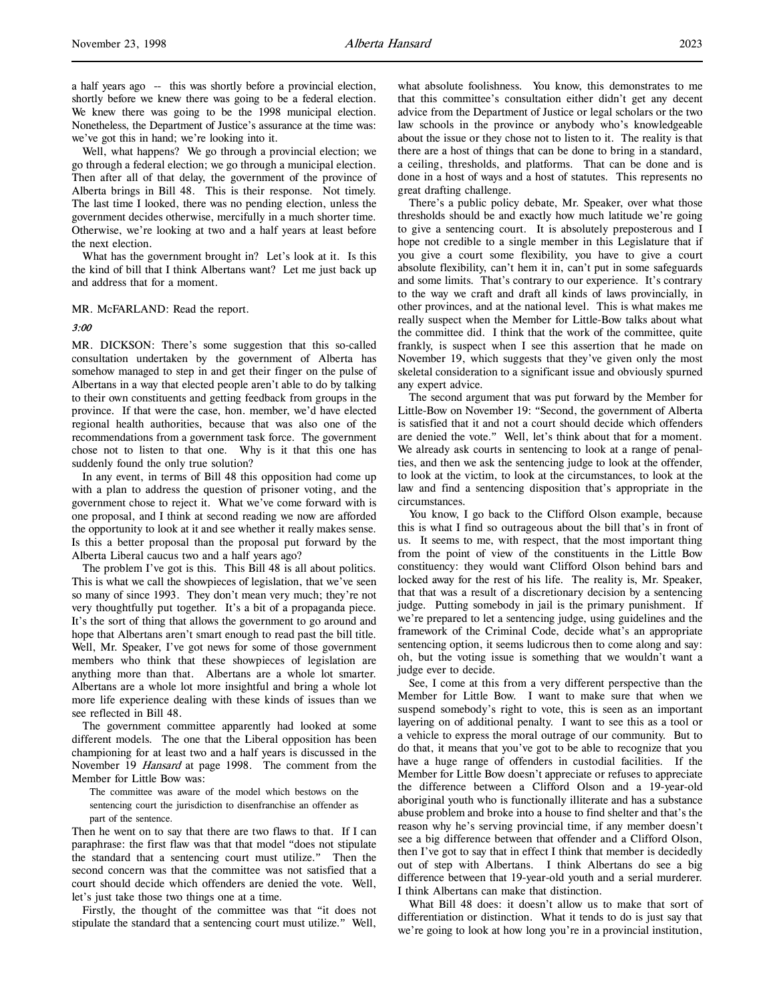a half years ago -- this was shortly before a provincial election, shortly before we knew there was going to be a federal election. We knew there was going to be the 1998 municipal election. Nonetheless, the Department of Justice's assurance at the time was: we've got this in hand; we're looking into it.

Well, what happens? We go through a provincial election; we go through a federal election; we go through a municipal election. Then after all of that delay, the government of the province of Alberta brings in Bill 48. This is their response. Not timely. The last time I looked, there was no pending election, unless the government decides otherwise, mercifully in a much shorter time. Otherwise, we're looking at two and a half years at least before the next election.

What has the government brought in? Let's look at it. Is this the kind of bill that I think Albertans want? Let me just back up and address that for a moment.

MR. McFARLAND: Read the report.

### 3:00

MR. DICKSON: There's some suggestion that this so-called consultation undertaken by the government of Alberta has somehow managed to step in and get their finger on the pulse of Albertans in a way that elected people aren't able to do by talking to their own constituents and getting feedback from groups in the province. If that were the case, hon. member, we'd have elected regional health authorities, because that was also one of the recommendations from a government task force. The government chose not to listen to that one. Why is it that this one has suddenly found the only true solution?

In any event, in terms of Bill 48 this opposition had come up with a plan to address the question of prisoner voting, and the government chose to reject it. What we've come forward with is one proposal, and I think at second reading we now are afforded the opportunity to look at it and see whether it really makes sense. Is this a better proposal than the proposal put forward by the Alberta Liberal caucus two and a half years ago?

The problem I've got is this. This Bill 48 is all about politics. This is what we call the showpieces of legislation, that we've seen so many of since 1993. They don't mean very much; they're not very thoughtfully put together. It's a bit of a propaganda piece. It's the sort of thing that allows the government to go around and hope that Albertans aren't smart enough to read past the bill title. Well, Mr. Speaker, I've got news for some of those government members who think that these showpieces of legislation are anything more than that. Albertans are a whole lot smarter. Albertans are a whole lot more insightful and bring a whole lot more life experience dealing with these kinds of issues than we see reflected in Bill 48.

The government committee apparently had looked at some different models. The one that the Liberal opposition has been championing for at least two and a half years is discussed in the November 19 Hansard at page 1998. The comment from the Member for Little Bow was:

The committee was aware of the model which bestows on the sentencing court the jurisdiction to disenfranchise an offender as part of the sentence.

Then he went on to say that there are two flaws to that. If I can paraphrase: the first flaw was that that model "does not stipulate the standard that a sentencing court must utilize." Then the second concern was that the committee was not satisfied that a court should decide which offenders are denied the vote. Well, let's just take those two things one at a time.

Firstly, the thought of the committee was that "it does not stipulate the standard that a sentencing court must utilize." Well,

what absolute foolishness. You know, this demonstrates to me that this committee's consultation either didn't get any decent advice from the Department of Justice or legal scholars or the two law schools in the province or anybody who's knowledgeable about the issue or they chose not to listen to it. The reality is that there are a host of things that can be done to bring in a standard, a ceiling, thresholds, and platforms. That can be done and is done in a host of ways and a host of statutes. This represents no great drafting challenge.

There's a public policy debate, Mr. Speaker, over what those thresholds should be and exactly how much latitude we're going to give a sentencing court. It is absolutely preposterous and I hope not credible to a single member in this Legislature that if you give a court some flexibility, you have to give a court absolute flexibility, can't hem it in, can't put in some safeguards and some limits. That's contrary to our experience. It's contrary to the way we craft and draft all kinds of laws provincially, in other provinces, and at the national level. This is what makes me really suspect when the Member for Little-Bow talks about what the committee did. I think that the work of the committee, quite frankly, is suspect when I see this assertion that he made on November 19, which suggests that they've given only the most skeletal consideration to a significant issue and obviously spurned any expert advice.

The second argument that was put forward by the Member for Little-Bow on November 19: "Second, the government of Alberta is satisfied that it and not a court should decide which offenders are denied the vote." Well, let's think about that for a moment. We already ask courts in sentencing to look at a range of penalties, and then we ask the sentencing judge to look at the offender, to look at the victim, to look at the circumstances, to look at the law and find a sentencing disposition that's appropriate in the circumstances.

You know, I go back to the Clifford Olson example, because this is what I find so outrageous about the bill that's in front of us. It seems to me, with respect, that the most important thing from the point of view of the constituents in the Little Bow constituency: they would want Clifford Olson behind bars and locked away for the rest of his life. The reality is, Mr. Speaker, that that was a result of a discretionary decision by a sentencing judge. Putting somebody in jail is the primary punishment. If we're prepared to let a sentencing judge, using guidelines and the framework of the Criminal Code, decide what's an appropriate sentencing option, it seems ludicrous then to come along and say: oh, but the voting issue is something that we wouldn't want a judge ever to decide.

See, I come at this from a very different perspective than the Member for Little Bow. I want to make sure that when we suspend somebody's right to vote, this is seen as an important layering on of additional penalty. I want to see this as a tool or a vehicle to express the moral outrage of our community. But to do that, it means that you've got to be able to recognize that you have a huge range of offenders in custodial facilities. If the Member for Little Bow doesn't appreciate or refuses to appreciate the difference between a Clifford Olson and a 19-year-old aboriginal youth who is functionally illiterate and has a substance abuse problem and broke into a house to find shelter and that's the reason why he's serving provincial time, if any member doesn't see a big difference between that offender and a Clifford Olson, then I've got to say that in effect I think that member is decidedly out of step with Albertans. I think Albertans do see a big difference between that 19-year-old youth and a serial murderer. I think Albertans can make that distinction.

What Bill 48 does: it doesn't allow us to make that sort of differentiation or distinction. What it tends to do is just say that we're going to look at how long you're in a provincial institution,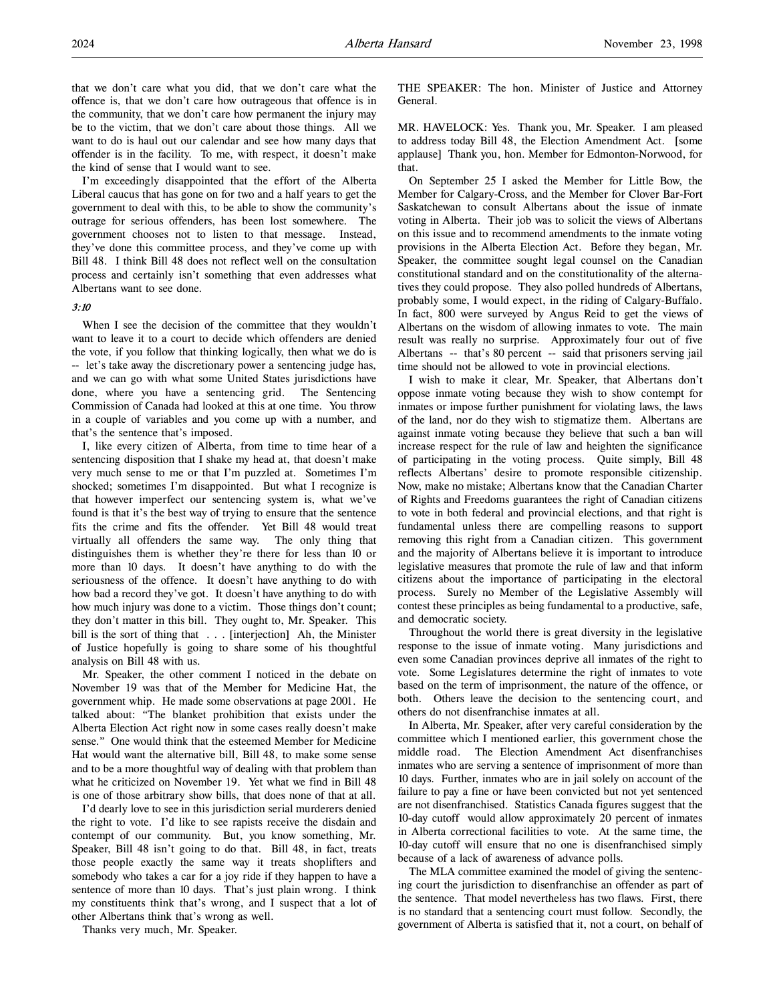that we don't care what you did, that we don't care what the offence is, that we don't care how outrageous that offence is in the community, that we don't care how permanent the injury may be to the victim, that we don't care about those things. All we want to do is haul out our calendar and see how many days that offender is in the facility. To me, with respect, it doesn't make the kind of sense that I would want to see.

I'm exceedingly disappointed that the effort of the Alberta Liberal caucus that has gone on for two and a half years to get the government to deal with this, to be able to show the community's outrage for serious offenders, has been lost somewhere. The government chooses not to listen to that message. Instead, they've done this committee process, and they've come up with Bill 48. I think Bill 48 does not reflect well on the consultation process and certainly isn't something that even addresses what Albertans want to see done.

### 3:10

When I see the decision of the committee that they wouldn't want to leave it to a court to decide which offenders are denied the vote, if you follow that thinking logically, then what we do is -- let's take away the discretionary power a sentencing judge has, and we can go with what some United States jurisdictions have done, where you have a sentencing grid. The Sentencing Commission of Canada had looked at this at one time. You throw in a couple of variables and you come up with a number, and that's the sentence that's imposed.

I, like every citizen of Alberta, from time to time hear of a sentencing disposition that I shake my head at, that doesn't make very much sense to me or that I'm puzzled at. Sometimes I'm shocked; sometimes I'm disappointed. But what I recognize is that however imperfect our sentencing system is, what we've found is that it's the best way of trying to ensure that the sentence fits the crime and fits the offender. Yet Bill 48 would treat virtually all offenders the same way. The only thing that distinguishes them is whether they're there for less than 10 or more than 10 days. It doesn't have anything to do with the seriousness of the offence. It doesn't have anything to do with how bad a record they've got. It doesn't have anything to do with how much injury was done to a victim. Those things don't count; they don't matter in this bill. They ought to, Mr. Speaker. This bill is the sort of thing that . . . [interjection] Ah, the Minister of Justice hopefully is going to share some of his thoughtful analysis on Bill 48 with us.

Mr. Speaker, the other comment I noticed in the debate on November 19 was that of the Member for Medicine Hat, the government whip. He made some observations at page 2001. He talked about: "The blanket prohibition that exists under the Alberta Election Act right now in some cases really doesn't make sense." One would think that the esteemed Member for Medicine Hat would want the alternative bill, Bill 48, to make some sense and to be a more thoughtful way of dealing with that problem than what he criticized on November 19. Yet what we find in Bill 48 is one of those arbitrary show bills, that does none of that at all.

I'd dearly love to see in this jurisdiction serial murderers denied the right to vote. I'd like to see rapists receive the disdain and contempt of our community. But, you know something, Mr. Speaker, Bill 48 isn't going to do that. Bill 48, in fact, treats those people exactly the same way it treats shoplifters and somebody who takes a car for a joy ride if they happen to have a sentence of more than 10 days. That's just plain wrong. I think my constituents think that's wrong, and I suspect that a lot of other Albertans think that's wrong as well.

Thanks very much, Mr. Speaker.

THE SPEAKER: The hon. Minister of Justice and Attorney General.

MR. HAVELOCK: Yes. Thank you, Mr. Speaker. I am pleased to address today Bill 48, the Election Amendment Act. [some applause] Thank you, hon. Member for Edmonton-Norwood, for that.

On September 25 I asked the Member for Little Bow, the Member for Calgary-Cross, and the Member for Clover Bar-Fort Saskatchewan to consult Albertans about the issue of inmate voting in Alberta. Their job was to solicit the views of Albertans on this issue and to recommend amendments to the inmate voting provisions in the Alberta Election Act. Before they began, Mr. Speaker, the committee sought legal counsel on the Canadian constitutional standard and on the constitutionality of the alternatives they could propose. They also polled hundreds of Albertans, probably some, I would expect, in the riding of Calgary-Buffalo. In fact, 800 were surveyed by Angus Reid to get the views of Albertans on the wisdom of allowing inmates to vote. The main result was really no surprise. Approximately four out of five Albertans -- that's 80 percent -- said that prisoners serving jail time should not be allowed to vote in provincial elections.

I wish to make it clear, Mr. Speaker, that Albertans don't oppose inmate voting because they wish to show contempt for inmates or impose further punishment for violating laws, the laws of the land, nor do they wish to stigmatize them. Albertans are against inmate voting because they believe that such a ban will increase respect for the rule of law and heighten the significance of participating in the voting process. Quite simply, Bill 48 reflects Albertans' desire to promote responsible citizenship. Now, make no mistake; Albertans know that the Canadian Charter of Rights and Freedoms guarantees the right of Canadian citizens to vote in both federal and provincial elections, and that right is fundamental unless there are compelling reasons to support removing this right from a Canadian citizen. This government and the majority of Albertans believe it is important to introduce legislative measures that promote the rule of law and that inform citizens about the importance of participating in the electoral process. Surely no Member of the Legislative Assembly will contest these principles as being fundamental to a productive, safe, and democratic society.

Throughout the world there is great diversity in the legislative response to the issue of inmate voting. Many jurisdictions and even some Canadian provinces deprive all inmates of the right to vote. Some Legislatures determine the right of inmates to vote based on the term of imprisonment, the nature of the offence, or both. Others leave the decision to the sentencing court, and others do not disenfranchise inmates at all.

In Alberta, Mr. Speaker, after very careful consideration by the committee which I mentioned earlier, this government chose the middle road. The Election Amendment Act disenfranchises inmates who are serving a sentence of imprisonment of more than 10 days. Further, inmates who are in jail solely on account of the failure to pay a fine or have been convicted but not yet sentenced are not disenfranchised. Statistics Canada figures suggest that the 10-day cutoff would allow approximately 20 percent of inmates in Alberta correctional facilities to vote. At the same time, the 10-day cutoff will ensure that no one is disenfranchised simply because of a lack of awareness of advance polls.

The MLA committee examined the model of giving the sentencing court the jurisdiction to disenfranchise an offender as part of the sentence. That model nevertheless has two flaws. First, there is no standard that a sentencing court must follow. Secondly, the government of Alberta is satisfied that it, not a court, on behalf of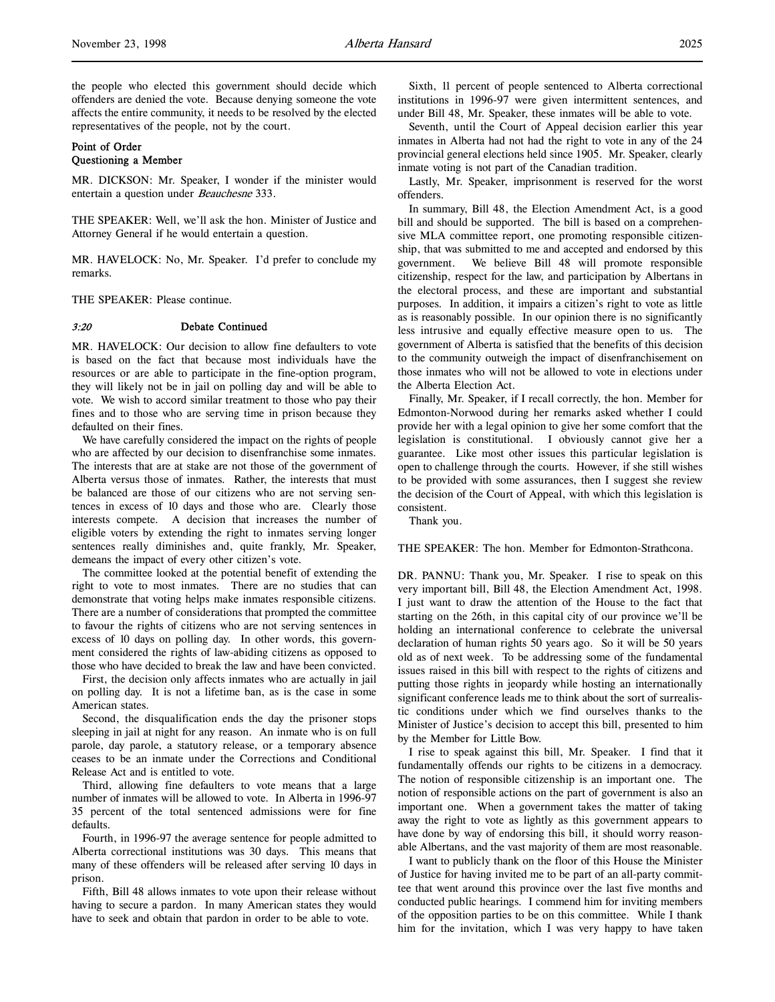# Point of Order Questioning a Member

MR. DICKSON: Mr. Speaker, I wonder if the minister would entertain a question under Beauchesne 333.

THE SPEAKER: Well, we'll ask the hon. Minister of Justice and Attorney General if he would entertain a question.

MR. HAVELOCK: No, Mr. Speaker. I'd prefer to conclude my remarks.

THE SPEAKER: Please continue.

### 3:20 Debate Continued

MR. HAVELOCK: Our decision to allow fine defaulters to vote is based on the fact that because most individuals have the resources or are able to participate in the fine-option program, they will likely not be in jail on polling day and will be able to vote. We wish to accord similar treatment to those who pay their fines and to those who are serving time in prison because they defaulted on their fines.

We have carefully considered the impact on the rights of people who are affected by our decision to disenfranchise some inmates. The interests that are at stake are not those of the government of Alberta versus those of inmates. Rather, the interests that must be balanced are those of our citizens who are not serving sentences in excess of 10 days and those who are. Clearly those interests compete. A decision that increases the number of eligible voters by extending the right to inmates serving longer sentences really diminishes and, quite frankly, Mr. Speaker, demeans the impact of every other citizen's vote.

The committee looked at the potential benefit of extending the right to vote to most inmates. There are no studies that can demonstrate that voting helps make inmates responsible citizens. There are a number of considerations that prompted the committee to favour the rights of citizens who are not serving sentences in excess of 10 days on polling day. In other words, this government considered the rights of law-abiding citizens as opposed to those who have decided to break the law and have been convicted.

First, the decision only affects inmates who are actually in jail on polling day. It is not a lifetime ban, as is the case in some American states.

Second, the disqualification ends the day the prisoner stops sleeping in jail at night for any reason. An inmate who is on full parole, day parole, a statutory release, or a temporary absence ceases to be an inmate under the Corrections and Conditional Release Act and is entitled to vote.

Third, allowing fine defaulters to vote means that a large number of inmates will be allowed to vote. In Alberta in 1996-97 35 percent of the total sentenced admissions were for fine defaults.

Fourth, in 1996-97 the average sentence for people admitted to Alberta correctional institutions was 30 days. This means that many of these offenders will be released after serving 10 days in prison.

Fifth, Bill 48 allows inmates to vote upon their release without having to secure a pardon. In many American states they would have to seek and obtain that pardon in order to be able to vote.

Sixth, 11 percent of people sentenced to Alberta correctional institutions in 1996-97 were given intermittent sentences, and under Bill 48, Mr. Speaker, these inmates will be able to vote.

Seventh, until the Court of Appeal decision earlier this year inmates in Alberta had not had the right to vote in any of the 24 provincial general elections held since 1905. Mr. Speaker, clearly inmate voting is not part of the Canadian tradition.

Lastly, Mr. Speaker, imprisonment is reserved for the worst offenders.

In summary, Bill 48, the Election Amendment Act, is a good bill and should be supported. The bill is based on a comprehensive MLA committee report, one promoting responsible citizenship, that was submitted to me and accepted and endorsed by this government. We believe Bill 48 will promote responsible citizenship, respect for the law, and participation by Albertans in the electoral process, and these are important and substantial purposes. In addition, it impairs a citizen's right to vote as little as is reasonably possible. In our opinion there is no significantly less intrusive and equally effective measure open to us. The government of Alberta is satisfied that the benefits of this decision to the community outweigh the impact of disenfranchisement on those inmates who will not be allowed to vote in elections under the Alberta Election Act.

Finally, Mr. Speaker, if I recall correctly, the hon. Member for Edmonton-Norwood during her remarks asked whether I could provide her with a legal opinion to give her some comfort that the legislation is constitutional. I obviously cannot give her a guarantee. Like most other issues this particular legislation is open to challenge through the courts. However, if she still wishes to be provided with some assurances, then I suggest she review the decision of the Court of Appeal, with which this legislation is consistent.

Thank you.

THE SPEAKER: The hon. Member for Edmonton-Strathcona.

DR. PANNU: Thank you, Mr. Speaker. I rise to speak on this very important bill, Bill 48, the Election Amendment Act, 1998. I just want to draw the attention of the House to the fact that starting on the 26th, in this capital city of our province we'll be holding an international conference to celebrate the universal declaration of human rights 50 years ago. So it will be 50 years old as of next week. To be addressing some of the fundamental issues raised in this bill with respect to the rights of citizens and putting those rights in jeopardy while hosting an internationally significant conference leads me to think about the sort of surrealistic conditions under which we find ourselves thanks to the Minister of Justice's decision to accept this bill, presented to him by the Member for Little Bow.

I rise to speak against this bill, Mr. Speaker. I find that it fundamentally offends our rights to be citizens in a democracy. The notion of responsible citizenship is an important one. The notion of responsible actions on the part of government is also an important one. When a government takes the matter of taking away the right to vote as lightly as this government appears to have done by way of endorsing this bill, it should worry reasonable Albertans, and the vast majority of them are most reasonable.

I want to publicly thank on the floor of this House the Minister of Justice for having invited me to be part of an all-party committee that went around this province over the last five months and conducted public hearings. I commend him for inviting members of the opposition parties to be on this committee. While I thank him for the invitation, which I was very happy to have taken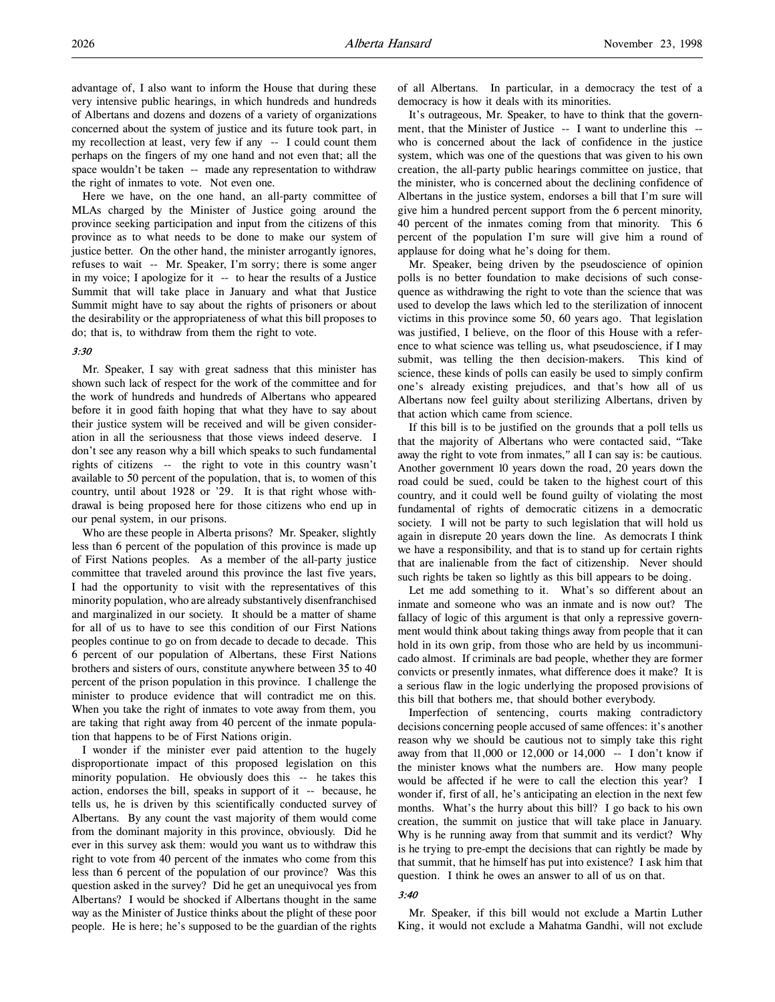advantage of, I also want to inform the House that during these very intensive public hearings, in which hundreds and hundreds of Albertans and dozens and dozens of a variety of organizations concerned about the system of justice and its future took part, in my recollection at least, very few if any -- I could count them perhaps on the fingers of my one hand and not even that; all the space wouldn't be taken -- made any representation to withdraw the right of inmates to vote. Not even one.

Here we have, on the one hand, an all-party committee of MLAs charged by the Minister of Justice going around the province seeking participation and input from the citizens of this province as to what needs to be done to make our system of justice better. On the other hand, the minister arrogantly ignores, refuses to wait -- Mr. Speaker, I'm sorry; there is some anger in my voice; I apologize for it -- to hear the results of a Justice Summit that will take place in January and what that Justice Summit might have to say about the rights of prisoners or about the desirability or the appropriateness of what this bill proposes to do; that is, to withdraw from them the right to vote.

# 3:30

Mr. Speaker, I say with great sadness that this minister has shown such lack of respect for the work of the committee and for the work of hundreds and hundreds of Albertans who appeared before it in good faith hoping that what they have to say about their justice system will be received and will be given consideration in all the seriousness that those views indeed deserve. I don't see any reason why a bill which speaks to such fundamental rights of citizens -- the right to vote in this country wasn't available to 50 percent of the population, that is, to women of this country, until about 1928 or '29. It is that right whose withdrawal is being proposed here for those citizens who end up in our penal system, in our prisons.

Who are these people in Alberta prisons? Mr. Speaker, slightly less than 6 percent of the population of this province is made up of First Nations peoples. As a member of the all-party justice committee that traveled around this province the last five years, I had the opportunity to visit with the representatives of this minority population, who are already substantively disenfranchised and marginalized in our society. It should be a matter of shame for all of us to have to see this condition of our First Nations peoples continue to go on from decade to decade to decade. This 6 percent of our population of Albertans, these First Nations brothers and sisters of ours, constitute anywhere between 35 to 40 percent of the prison population in this province. I challenge the minister to produce evidence that will contradict me on this. When you take the right of inmates to vote away from them, you are taking that right away from 40 percent of the inmate population that happens to be of First Nations origin.

I wonder if the minister ever paid attention to the hugely disproportionate impact of this proposed legislation on this minority population. He obviously does this -- he takes this action, endorses the bill, speaks in support of it -- because, he tells us, he is driven by this scientifically conducted survey of Albertans. By any count the vast majority of them would come from the dominant majority in this province, obviously. Did he ever in this survey ask them: would you want us to withdraw this right to vote from 40 percent of the inmates who come from this less than 6 percent of the population of our province? Was this question asked in the survey? Did he get an unequivocal yes from Albertans? I would be shocked if Albertans thought in the same way as the Minister of Justice thinks about the plight of these poor people. He is here; he's supposed to be the guardian of the rights

of all Albertans. In particular, in a democracy the test of a democracy is how it deals with its minorities.

It's outrageous, Mr. Speaker, to have to think that the government, that the Minister of Justice -- I want to underline this -who is concerned about the lack of confidence in the justice system, which was one of the questions that was given to his own creation, the all-party public hearings committee on justice, that the minister, who is concerned about the declining confidence of Albertans in the justice system, endorses a bill that I'm sure will give him a hundred percent support from the 6 percent minority, 40 percent of the inmates coming from that minority. This 6 percent of the population I'm sure will give him a round of applause for doing what he's doing for them.

Mr. Speaker, being driven by the pseudoscience of opinion polls is no better foundation to make decisions of such consequence as withdrawing the right to vote than the science that was used to develop the laws which led to the sterilization of innocent victims in this province some 50, 60 years ago. That legislation was justified, I believe, on the floor of this House with a reference to what science was telling us, what pseudoscience, if I may submit, was telling the then decision-makers. This kind of science, these kinds of polls can easily be used to simply confirm one's already existing prejudices, and that's how all of us Albertans now feel guilty about sterilizing Albertans, driven by that action which came from science.

If this bill is to be justified on the grounds that a poll tells us that the majority of Albertans who were contacted said, "Take away the right to vote from inmates," all I can say is: be cautious. Another government 10 years down the road, 20 years down the road could be sued, could be taken to the highest court of this country, and it could well be found guilty of violating the most fundamental of rights of democratic citizens in a democratic society. I will not be party to such legislation that will hold us again in disrepute 20 years down the line. As democrats I think we have a responsibility, and that is to stand up for certain rights that are inalienable from the fact of citizenship. Never should such rights be taken so lightly as this bill appears to be doing.

Let me add something to it. What's so different about an inmate and someone who was an inmate and is now out? The fallacy of logic of this argument is that only a repressive government would think about taking things away from people that it can hold in its own grip, from those who are held by us incommunicado almost. If criminals are bad people, whether they are former convicts or presently inmates, what difference does it make? It is a serious flaw in the logic underlying the proposed provisions of this bill that bothers me, that should bother everybody.

Imperfection of sentencing, courts making contradictory decisions concerning people accused of same offences: it's another reason why we should be cautious not to simply take this right away from that 11,000 or 12,000 or 14,000 -- I don't know if the minister knows what the numbers are. How many people would be affected if he were to call the election this year? I wonder if, first of all, he's anticipating an election in the next few months. What's the hurry about this bill? I go back to his own creation, the summit on justice that will take place in January. Why is he running away from that summit and its verdict? Why is he trying to pre-empt the decisions that can rightly be made by that summit, that he himself has put into existence? I ask him that question. I think he owes an answer to all of us on that.

## 3:40

Mr. Speaker, if this bill would not exclude a Martin Luther King, it would not exclude a Mahatma Gandhi, will not exclude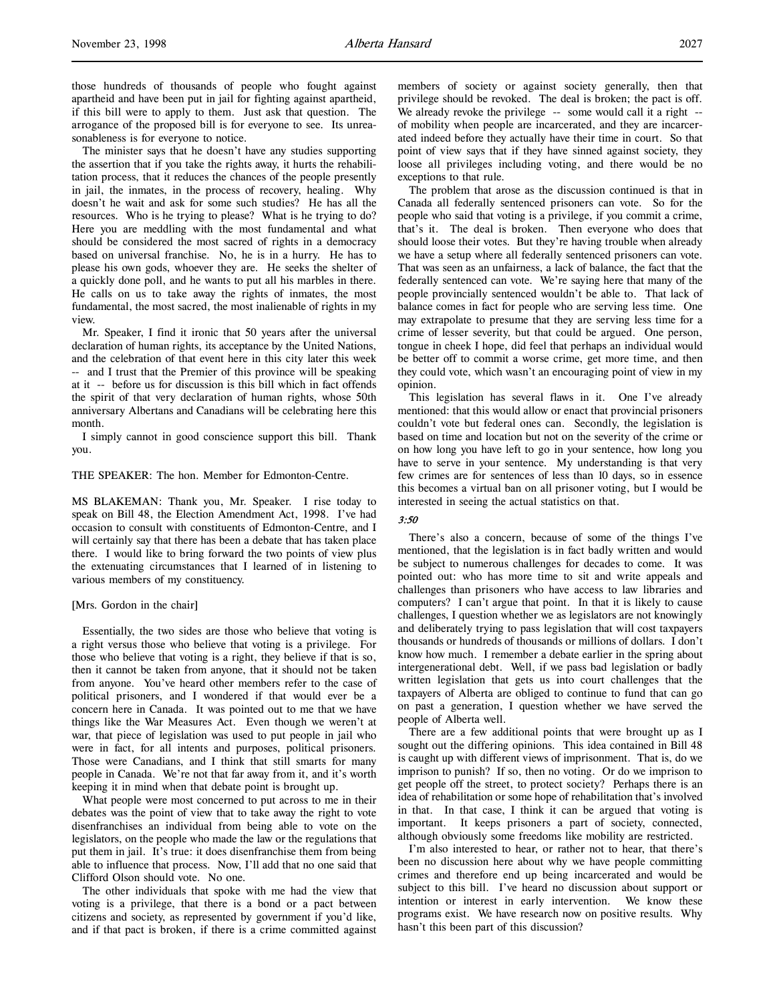those hundreds of thousands of people who fought against apartheid and have been put in jail for fighting against apartheid, if this bill were to apply to them. Just ask that question. The arrogance of the proposed bill is for everyone to see. Its unreasonableness is for everyone to notice.

The minister says that he doesn't have any studies supporting the assertion that if you take the rights away, it hurts the rehabilitation process, that it reduces the chances of the people presently in jail, the inmates, in the process of recovery, healing. Why doesn't he wait and ask for some such studies? He has all the resources. Who is he trying to please? What is he trying to do? Here you are meddling with the most fundamental and what should be considered the most sacred of rights in a democracy based on universal franchise. No, he is in a hurry. He has to please his own gods, whoever they are. He seeks the shelter of a quickly done poll, and he wants to put all his marbles in there. He calls on us to take away the rights of inmates, the most fundamental, the most sacred, the most inalienable of rights in my view.

Mr. Speaker, I find it ironic that 50 years after the universal declaration of human rights, its acceptance by the United Nations, and the celebration of that event here in this city later this week -- and I trust that the Premier of this province will be speaking at it -- before us for discussion is this bill which in fact offends the spirit of that very declaration of human rights, whose 50th anniversary Albertans and Canadians will be celebrating here this month.

I simply cannot in good conscience support this bill. Thank you.

### THE SPEAKER: The hon. Member for Edmonton-Centre.

MS BLAKEMAN: Thank you, Mr. Speaker. I rise today to speak on Bill 48, the Election Amendment Act, 1998. I've had occasion to consult with constituents of Edmonton-Centre, and I will certainly say that there has been a debate that has taken place there. I would like to bring forward the two points of view plus the extenuating circumstances that I learned of in listening to various members of my constituency.

### [Mrs. Gordon in the chair]

Essentially, the two sides are those who believe that voting is a right versus those who believe that voting is a privilege. For those who believe that voting is a right, they believe if that is so, then it cannot be taken from anyone, that it should not be taken from anyone. You've heard other members refer to the case of political prisoners, and I wondered if that would ever be a concern here in Canada. It was pointed out to me that we have things like the War Measures Act. Even though we weren't at war, that piece of legislation was used to put people in jail who were in fact, for all intents and purposes, political prisoners. Those were Canadians, and I think that still smarts for many people in Canada. We're not that far away from it, and it's worth keeping it in mind when that debate point is brought up.

What people were most concerned to put across to me in their debates was the point of view that to take away the right to vote disenfranchises an individual from being able to vote on the legislators, on the people who made the law or the regulations that put them in jail. It's true: it does disenfranchise them from being able to influence that process. Now, I'll add that no one said that Clifford Olson should vote. No one.

The other individuals that spoke with me had the view that voting is a privilege, that there is a bond or a pact between citizens and society, as represented by government if you'd like, and if that pact is broken, if there is a crime committed against

members of society or against society generally, then that privilege should be revoked. The deal is broken; the pact is off. We already revoke the privilege -- some would call it a right -of mobility when people are incarcerated, and they are incarcerated indeed before they actually have their time in court. So that point of view says that if they have sinned against society, they loose all privileges including voting, and there would be no exceptions to that rule.

The problem that arose as the discussion continued is that in Canada all federally sentenced prisoners can vote. So for the people who said that voting is a privilege, if you commit a crime, that's it. The deal is broken. Then everyone who does that should loose their votes. But they're having trouble when already we have a setup where all federally sentenced prisoners can vote. That was seen as an unfairness, a lack of balance, the fact that the federally sentenced can vote. We're saying here that many of the people provincially sentenced wouldn't be able to. That lack of balance comes in fact for people who are serving less time. One may extrapolate to presume that they are serving less time for a crime of lesser severity, but that could be argued. One person, tongue in cheek I hope, did feel that perhaps an individual would be better off to commit a worse crime, get more time, and then they could vote, which wasn't an encouraging point of view in my opinion.

This legislation has several flaws in it. One I've already mentioned: that this would allow or enact that provincial prisoners couldn't vote but federal ones can. Secondly, the legislation is based on time and location but not on the severity of the crime or on how long you have left to go in your sentence, how long you have to serve in your sentence. My understanding is that very few crimes are for sentences of less than 10 days, so in essence this becomes a virtual ban on all prisoner voting, but I would be interested in seeing the actual statistics on that.

# 3:50

There's also a concern, because of some of the things I've mentioned, that the legislation is in fact badly written and would be subject to numerous challenges for decades to come. It was pointed out: who has more time to sit and write appeals and challenges than prisoners who have access to law libraries and computers? I can't argue that point. In that it is likely to cause challenges, I question whether we as legislators are not knowingly and deliberately trying to pass legislation that will cost taxpayers thousands or hundreds of thousands or millions of dollars. I don't know how much. I remember a debate earlier in the spring about intergenerational debt. Well, if we pass bad legislation or badly written legislation that gets us into court challenges that the taxpayers of Alberta are obliged to continue to fund that can go on past a generation, I question whether we have served the people of Alberta well.

There are a few additional points that were brought up as I sought out the differing opinions. This idea contained in Bill 48 is caught up with different views of imprisonment. That is, do we imprison to punish? If so, then no voting. Or do we imprison to get people off the street, to protect society? Perhaps there is an idea of rehabilitation or some hope of rehabilitation that's involved in that. In that case, I think it can be argued that voting is important. It keeps prisoners a part of society, connected, although obviously some freedoms like mobility are restricted.

I'm also interested to hear, or rather not to hear, that there's been no discussion here about why we have people committing crimes and therefore end up being incarcerated and would be subject to this bill. I've heard no discussion about support or intention or interest in early intervention. We know these programs exist. We have research now on positive results. Why hasn't this been part of this discussion?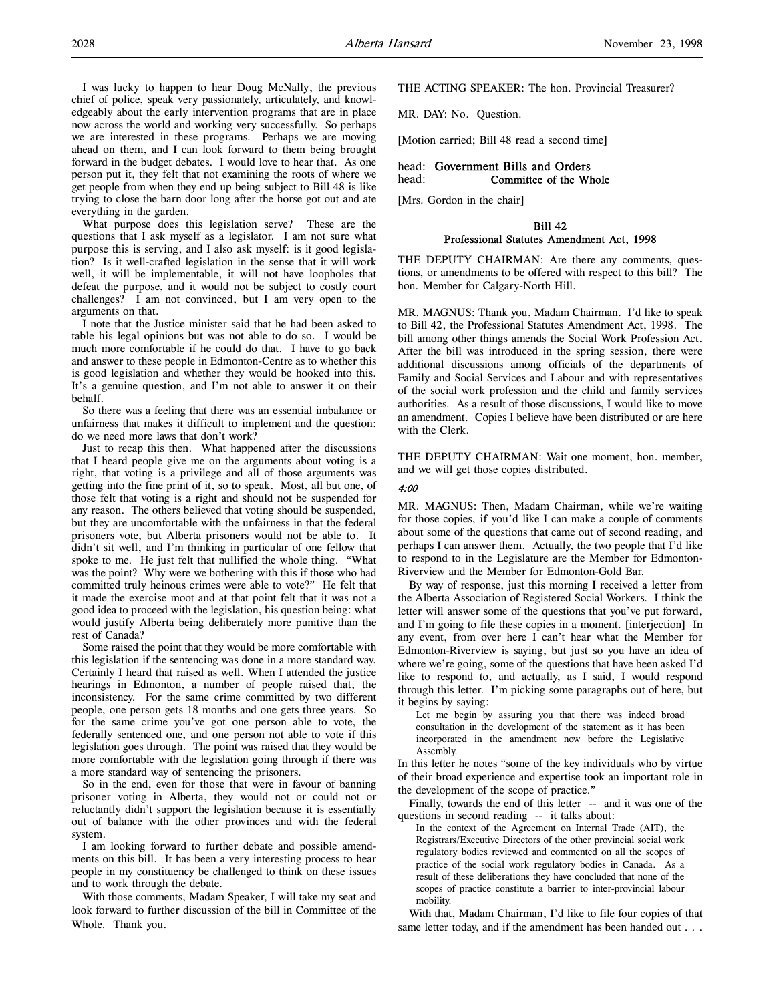I was lucky to happen to hear Doug McNally, the previous chief of police, speak very passionately, articulately, and knowledgeably about the early intervention programs that are in place now across the world and working very successfully. So perhaps we are interested in these programs. Perhaps we are moving ahead on them, and I can look forward to them being brought forward in the budget debates. I would love to hear that. As one person put it, they felt that not examining the roots of where we get people from when they end up being subject to Bill 48 is like trying to close the barn door long after the horse got out and ate everything in the garden.

What purpose does this legislation serve? These are the questions that I ask myself as a legislator. I am not sure what purpose this is serving, and I also ask myself: is it good legislation? Is it well-crafted legislation in the sense that it will work well, it will be implementable, it will not have loopholes that defeat the purpose, and it would not be subject to costly court challenges? I am not convinced, but I am very open to the arguments on that.

I note that the Justice minister said that he had been asked to table his legal opinions but was not able to do so. I would be much more comfortable if he could do that. I have to go back and answer to these people in Edmonton-Centre as to whether this is good legislation and whether they would be hooked into this. It's a genuine question, and I'm not able to answer it on their behalf.

So there was a feeling that there was an essential imbalance or unfairness that makes it difficult to implement and the question: do we need more laws that don't work?

Just to recap this then. What happened after the discussions that I heard people give me on the arguments about voting is a right, that voting is a privilege and all of those arguments was getting into the fine print of it, so to speak. Most, all but one, of those felt that voting is a right and should not be suspended for any reason. The others believed that voting should be suspended, but they are uncomfortable with the unfairness in that the federal prisoners vote, but Alberta prisoners would not be able to. It didn't sit well, and I'm thinking in particular of one fellow that spoke to me. He just felt that nullified the whole thing. "What was the point? Why were we bothering with this if those who had committed truly heinous crimes were able to vote?" He felt that it made the exercise moot and at that point felt that it was not a good idea to proceed with the legislation, his question being: what would justify Alberta being deliberately more punitive than the rest of Canada?

Some raised the point that they would be more comfortable with this legislation if the sentencing was done in a more standard way. Certainly I heard that raised as well. When I attended the justice hearings in Edmonton, a number of people raised that, the inconsistency. For the same crime committed by two different people, one person gets 18 months and one gets three years. So for the same crime you've got one person able to vote, the federally sentenced one, and one person not able to vote if this legislation goes through. The point was raised that they would be more comfortable with the legislation going through if there was a more standard way of sentencing the prisoners.

So in the end, even for those that were in favour of banning prisoner voting in Alberta, they would not or could not or reluctantly didn't support the legislation because it is essentially out of balance with the other provinces and with the federal system.

I am looking forward to further debate and possible amendments on this bill. It has been a very interesting process to hear people in my constituency be challenged to think on these issues and to work through the debate.

With those comments, Madam Speaker, I will take my seat and look forward to further discussion of the bill in Committee of the Whole. Thank you.

THE ACTING SPEAKER: The hon. Provincial Treasurer?

MR. DAY: No. Question.

[Motion carried; Bill 48 read a second time]

## head: Government Bills and Orders head: Committee of the Whole

[Mrs. Gordon in the chair]

## Bill 42 Professional Statutes Amendment Act, 1998

THE DEPUTY CHAIRMAN: Are there any comments, questions, or amendments to be offered with respect to this bill? The hon. Member for Calgary-North Hill.

MR. MAGNUS: Thank you, Madam Chairman. I'd like to speak to Bill 42, the Professional Statutes Amendment Act, 1998. The bill among other things amends the Social Work Profession Act. After the bill was introduced in the spring session, there were additional discussions among officials of the departments of Family and Social Services and Labour and with representatives of the social work profession and the child and family services authorities. As a result of those discussions, I would like to move an amendment. Copies I believe have been distributed or are here with the Clerk.

THE DEPUTY CHAIRMAN: Wait one moment, hon. member, and we will get those copies distributed.

### 4:00

MR. MAGNUS: Then, Madam Chairman, while we're waiting for those copies, if you'd like I can make a couple of comments about some of the questions that came out of second reading, and perhaps I can answer them. Actually, the two people that I'd like to respond to in the Legislature are the Member for Edmonton-Riverview and the Member for Edmonton-Gold Bar.

By way of response, just this morning I received a letter from the Alberta Association of Registered Social Workers. I think the letter will answer some of the questions that you've put forward, and I'm going to file these copies in a moment. [interjection] In any event, from over here I can't hear what the Member for Edmonton-Riverview is saying, but just so you have an idea of where we're going, some of the questions that have been asked I'd like to respond to, and actually, as I said, I would respond through this letter. I'm picking some paragraphs out of here, but it begins by saying:

Let me begin by assuring you that there was indeed broad consultation in the development of the statement as it has been incorporated in the amendment now before the Legislative Assembly.

In this letter he notes "some of the key individuals who by virtue of their broad experience and expertise took an important role in the development of the scope of practice."

Finally, towards the end of this letter -- and it was one of the questions in second reading -- it talks about:

In the context of the Agreement on Internal Trade (AIT), the Registrars/Executive Directors of the other provincial social work regulatory bodies reviewed and commented on all the scopes of practice of the social work regulatory bodies in Canada. As a result of these deliberations they have concluded that none of the scopes of practice constitute a barrier to inter-provincial labour mobility.

With that, Madam Chairman, I'd like to file four copies of that same letter today, and if the amendment has been handed out . . .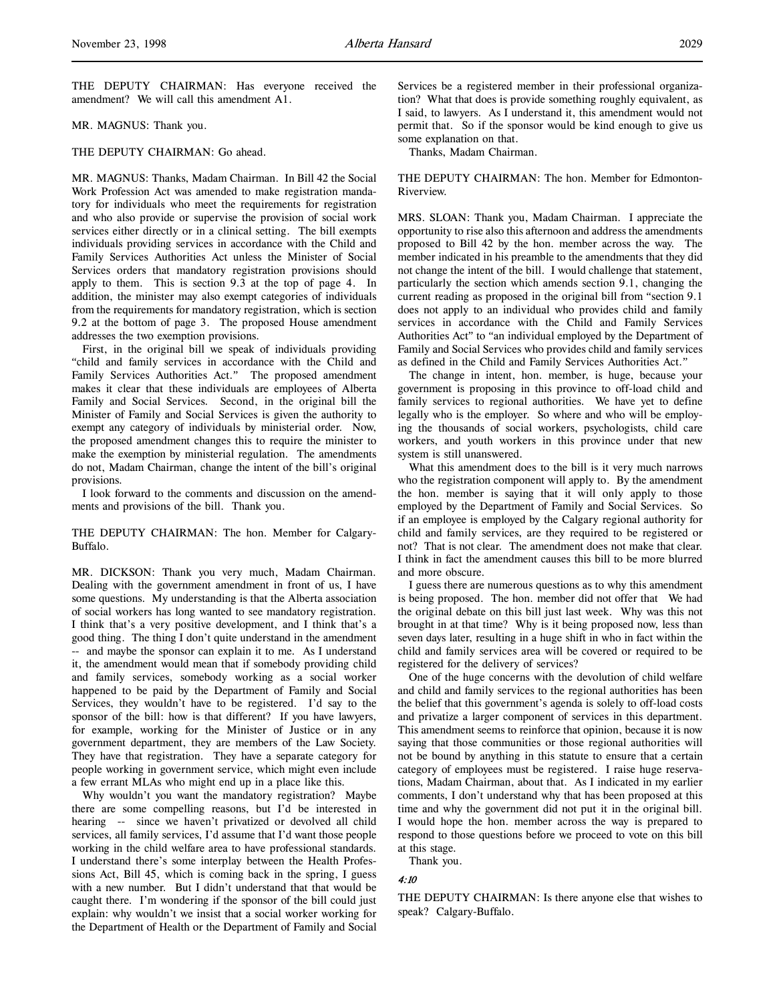THE DEPUTY CHAIRMAN: Has everyone received the amendment? We will call this amendment A1.

### MR. MAGNUS: Thank you.

### THE DEPUTY CHAIRMAN: Go ahead.

MR. MAGNUS: Thanks, Madam Chairman. In Bill 42 the Social Work Profession Act was amended to make registration mandatory for individuals who meet the requirements for registration and who also provide or supervise the provision of social work services either directly or in a clinical setting. The bill exempts individuals providing services in accordance with the Child and Family Services Authorities Act unless the Minister of Social Services orders that mandatory registration provisions should apply to them. This is section 9.3 at the top of page 4. In addition, the minister may also exempt categories of individuals from the requirements for mandatory registration, which is section 9.2 at the bottom of page 3. The proposed House amendment addresses the two exemption provisions.

First, in the original bill we speak of individuals providing "child and family services in accordance with the Child and Family Services Authorities Act." The proposed amendment makes it clear that these individuals are employees of Alberta Family and Social Services. Second, in the original bill the Minister of Family and Social Services is given the authority to exempt any category of individuals by ministerial order. Now, the proposed amendment changes this to require the minister to make the exemption by ministerial regulation. The amendments do not, Madam Chairman, change the intent of the bill's original provisions.

I look forward to the comments and discussion on the amendments and provisions of the bill. Thank you.

THE DEPUTY CHAIRMAN: The hon. Member for Calgary-Buffalo.

MR. DICKSON: Thank you very much, Madam Chairman. Dealing with the government amendment in front of us, I have some questions. My understanding is that the Alberta association of social workers has long wanted to see mandatory registration. I think that's a very positive development, and I think that's a good thing. The thing I don't quite understand in the amendment -- and maybe the sponsor can explain it to me. As I understand it, the amendment would mean that if somebody providing child and family services, somebody working as a social worker happened to be paid by the Department of Family and Social Services, they wouldn't have to be registered. I'd say to the sponsor of the bill: how is that different? If you have lawyers, for example, working for the Minister of Justice or in any government department, they are members of the Law Society. They have that registration. They have a separate category for people working in government service, which might even include a few errant MLAs who might end up in a place like this.

Why wouldn't you want the mandatory registration? Maybe there are some compelling reasons, but I'd be interested in hearing -- since we haven't privatized or devolved all child services, all family services, I'd assume that I'd want those people working in the child welfare area to have professional standards. I understand there's some interplay between the Health Professions Act, Bill 45, which is coming back in the spring, I guess with a new number. But I didn't understand that that would be caught there. I'm wondering if the sponsor of the bill could just explain: why wouldn't we insist that a social worker working for the Department of Health or the Department of Family and Social

Services be a registered member in their professional organization? What that does is provide something roughly equivalent, as I said, to lawyers. As I understand it, this amendment would not permit that. So if the sponsor would be kind enough to give us some explanation on that.

Thanks, Madam Chairman.

THE DEPUTY CHAIRMAN: The hon. Member for Edmonton-Riverview.

MRS. SLOAN: Thank you, Madam Chairman. I appreciate the opportunity to rise also this afternoon and address the amendments proposed to Bill 42 by the hon. member across the way. The member indicated in his preamble to the amendments that they did not change the intent of the bill. I would challenge that statement, particularly the section which amends section 9.1, changing the current reading as proposed in the original bill from "section 9.1 does not apply to an individual who provides child and family services in accordance with the Child and Family Services Authorities Act" to "an individual employed by the Department of Family and Social Services who provides child and family services as defined in the Child and Family Services Authorities Act."

The change in intent, hon. member, is huge, because your government is proposing in this province to off-load child and family services to regional authorities. We have yet to define legally who is the employer. So where and who will be employing the thousands of social workers, psychologists, child care workers, and youth workers in this province under that new system is still unanswered.

What this amendment does to the bill is it very much narrows who the registration component will apply to. By the amendment the hon. member is saying that it will only apply to those employed by the Department of Family and Social Services. So if an employee is employed by the Calgary regional authority for child and family services, are they required to be registered or not? That is not clear. The amendment does not make that clear. I think in fact the amendment causes this bill to be more blurred and more obscure.

I guess there are numerous questions as to why this amendment is being proposed. The hon. member did not offer that We had the original debate on this bill just last week. Why was this not brought in at that time? Why is it being proposed now, less than seven days later, resulting in a huge shift in who in fact within the child and family services area will be covered or required to be registered for the delivery of services?

One of the huge concerns with the devolution of child welfare and child and family services to the regional authorities has been the belief that this government's agenda is solely to off-load costs and privatize a larger component of services in this department. This amendment seems to reinforce that opinion, because it is now saying that those communities or those regional authorities will not be bound by anything in this statute to ensure that a certain category of employees must be registered. I raise huge reservations, Madam Chairman, about that. As I indicated in my earlier comments, I don't understand why that has been proposed at this time and why the government did not put it in the original bill. I would hope the hon. member across the way is prepared to respond to those questions before we proceed to vote on this bill at this stage.

Thank you.

### 4:10

THE DEPUTY CHAIRMAN: Is there anyone else that wishes to speak? Calgary-Buffalo.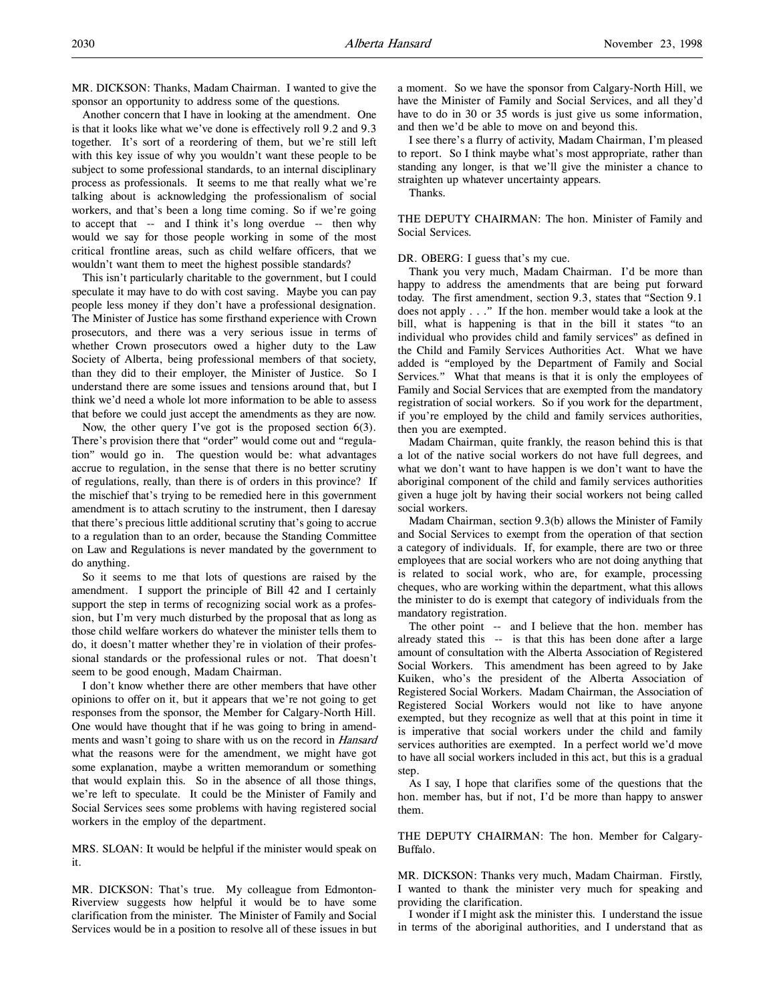Another concern that I have in looking at the amendment. One is that it looks like what we've done is effectively roll 9.2 and 9.3 together. It's sort of a reordering of them, but we're still left with this key issue of why you wouldn't want these people to be subject to some professional standards, to an internal disciplinary process as professionals. It seems to me that really what we're talking about is acknowledging the professionalism of social workers, and that's been a long time coming. So if we're going to accept that -- and I think it's long overdue -- then why would we say for those people working in some of the most critical frontline areas, such as child welfare officers, that we wouldn't want them to meet the highest possible standards?

This isn't particularly charitable to the government, but I could speculate it may have to do with cost saving. Maybe you can pay people less money if they don't have a professional designation. The Minister of Justice has some firsthand experience with Crown prosecutors, and there was a very serious issue in terms of whether Crown prosecutors owed a higher duty to the Law Society of Alberta, being professional members of that society, than they did to their employer, the Minister of Justice. So I understand there are some issues and tensions around that, but I think we'd need a whole lot more information to be able to assess that before we could just accept the amendments as they are now.

Now, the other query I've got is the proposed section 6(3). There's provision there that "order" would come out and "regulation" would go in. The question would be: what advantages accrue to regulation, in the sense that there is no better scrutiny of regulations, really, than there is of orders in this province? If the mischief that's trying to be remedied here in this government amendment is to attach scrutiny to the instrument, then I daresay that there's precious little additional scrutiny that's going to accrue to a regulation than to an order, because the Standing Committee on Law and Regulations is never mandated by the government to do anything.

So it seems to me that lots of questions are raised by the amendment. I support the principle of Bill 42 and I certainly support the step in terms of recognizing social work as a profession, but I'm very much disturbed by the proposal that as long as those child welfare workers do whatever the minister tells them to do, it doesn't matter whether they're in violation of their professional standards or the professional rules or not. That doesn't seem to be good enough, Madam Chairman.

I don't know whether there are other members that have other opinions to offer on it, but it appears that we're not going to get responses from the sponsor, the Member for Calgary-North Hill. One would have thought that if he was going to bring in amendments and wasn't going to share with us on the record in *Hansard* what the reasons were for the amendment, we might have got some explanation, maybe a written memorandum or something that would explain this. So in the absence of all those things, we're left to speculate. It could be the Minister of Family and Social Services sees some problems with having registered social workers in the employ of the department.

MRS. SLOAN: It would be helpful if the minister would speak on it.

MR. DICKSON: That's true. My colleague from Edmonton-Riverview suggests how helpful it would be to have some clarification from the minister. The Minister of Family and Social Services would be in a position to resolve all of these issues in but a moment. So we have the sponsor from Calgary-North Hill, we have the Minister of Family and Social Services, and all they'd have to do in 30 or 35 words is just give us some information, and then we'd be able to move on and beyond this.

I see there's a flurry of activity, Madam Chairman, I'm pleased to report. So I think maybe what's most appropriate, rather than standing any longer, is that we'll give the minister a chance to straighten up whatever uncertainty appears.

Thanks.

THE DEPUTY CHAIRMAN: The hon. Minister of Family and Social Services.

DR. OBERG: I guess that's my cue.

Thank you very much, Madam Chairman. I'd be more than happy to address the amendments that are being put forward today. The first amendment, section 9.3, states that "Section 9.1 does not apply . . ." If the hon. member would take a look at the bill, what is happening is that in the bill it states "to an individual who provides child and family services" as defined in the Child and Family Services Authorities Act. What we have added is "employed by the Department of Family and Social Services." What that means is that it is only the employees of Family and Social Services that are exempted from the mandatory registration of social workers. So if you work for the department, if you're employed by the child and family services authorities, then you are exempted.

Madam Chairman, quite frankly, the reason behind this is that a lot of the native social workers do not have full degrees, and what we don't want to have happen is we don't want to have the aboriginal component of the child and family services authorities given a huge jolt by having their social workers not being called social workers.

Madam Chairman, section 9.3(b) allows the Minister of Family and Social Services to exempt from the operation of that section a category of individuals. If, for example, there are two or three employees that are social workers who are not doing anything that is related to social work, who are, for example, processing cheques, who are working within the department, what this allows the minister to do is exempt that category of individuals from the mandatory registration.

The other point -- and I believe that the hon. member has already stated this -- is that this has been done after a large amount of consultation with the Alberta Association of Registered Social Workers. This amendment has been agreed to by Jake Kuiken, who's the president of the Alberta Association of Registered Social Workers. Madam Chairman, the Association of Registered Social Workers would not like to have anyone exempted, but they recognize as well that at this point in time it is imperative that social workers under the child and family services authorities are exempted. In a perfect world we'd move to have all social workers included in this act, but this is a gradual step.

As I say, I hope that clarifies some of the questions that the hon. member has, but if not, I'd be more than happy to answer them.

THE DEPUTY CHAIRMAN: The hon. Member for Calgary-Buffalo.

MR. DICKSON: Thanks very much, Madam Chairman. Firstly, I wanted to thank the minister very much for speaking and providing the clarification.

I wonder if I might ask the minister this. I understand the issue in terms of the aboriginal authorities, and I understand that as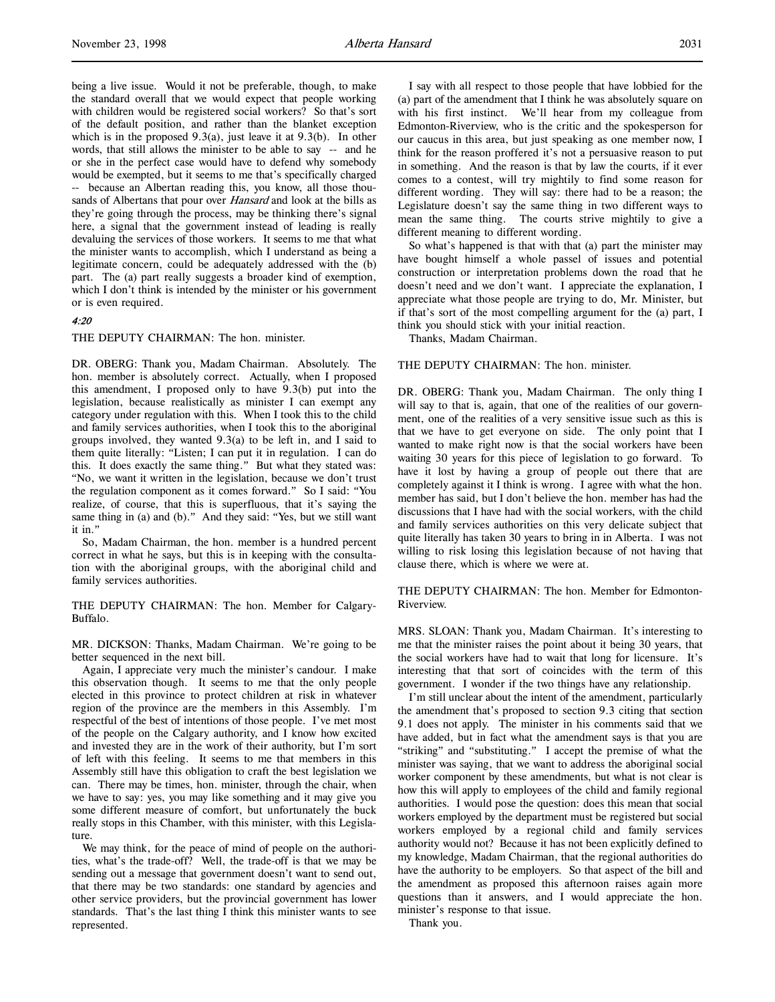being a live issue. Would it not be preferable, though, to make the standard overall that we would expect that people working with children would be registered social workers? So that's sort of the default position, and rather than the blanket exception which is in the proposed 9.3(a), just leave it at 9.3(b). In other words, that still allows the minister to be able to say -- and he or she in the perfect case would have to defend why somebody would be exempted, but it seems to me that's specifically charged -- because an Albertan reading this, you know, all those thousands of Albertans that pour over Hansard and look at the bills as they're going through the process, may be thinking there's signal here, a signal that the government instead of leading is really devaluing the services of those workers. It seems to me that what the minister wants to accomplish, which I understand as being a legitimate concern, could be adequately addressed with the (b) part. The (a) part really suggests a broader kind of exemption, which I don't think is intended by the minister or his government or is even required.

## 4:20

THE DEPUTY CHAIRMAN: The hon. minister.

DR. OBERG: Thank you, Madam Chairman. Absolutely. The hon. member is absolutely correct. Actually, when I proposed this amendment, I proposed only to have 9.3(b) put into the legislation, because realistically as minister I can exempt any category under regulation with this. When I took this to the child and family services authorities, when I took this to the aboriginal groups involved, they wanted 9.3(a) to be left in, and I said to them quite literally: "Listen; I can put it in regulation. I can do this. It does exactly the same thing." But what they stated was: "No, we want it written in the legislation, because we don't trust the regulation component as it comes forward." So I said: "You realize, of course, that this is superfluous, that it's saying the same thing in (a) and (b)." And they said: "Yes, but we still want it in."

So, Madam Chairman, the hon. member is a hundred percent correct in what he says, but this is in keeping with the consultation with the aboriginal groups, with the aboriginal child and family services authorities.

THE DEPUTY CHAIRMAN: The hon. Member for Calgary-Buffalo.

MR. DICKSON: Thanks, Madam Chairman. We're going to be better sequenced in the next bill.

Again, I appreciate very much the minister's candour. I make this observation though. It seems to me that the only people elected in this province to protect children at risk in whatever region of the province are the members in this Assembly. I'm respectful of the best of intentions of those people. I've met most of the people on the Calgary authority, and I know how excited and invested they are in the work of their authority, but I'm sort of left with this feeling. It seems to me that members in this Assembly still have this obligation to craft the best legislation we can. There may be times, hon. minister, through the chair, when we have to say: yes, you may like something and it may give you some different measure of comfort, but unfortunately the buck really stops in this Chamber, with this minister, with this Legislature.

We may think, for the peace of mind of people on the authorities, what's the trade-off? Well, the trade-off is that we may be sending out a message that government doesn't want to send out, that there may be two standards: one standard by agencies and other service providers, but the provincial government has lower standards. That's the last thing I think this minister wants to see represented.

I say with all respect to those people that have lobbied for the (a) part of the amendment that I think he was absolutely square on with his first instinct. We'll hear from my colleague from Edmonton-Riverview, who is the critic and the spokesperson for our caucus in this area, but just speaking as one member now, I think for the reason proffered it's not a persuasive reason to put in something. And the reason is that by law the courts, if it ever comes to a contest, will try mightily to find some reason for different wording. They will say: there had to be a reason; the Legislature doesn't say the same thing in two different ways to mean the same thing. The courts strive mightily to give a different meaning to different wording.

So what's happened is that with that (a) part the minister may have bought himself a whole passel of issues and potential construction or interpretation problems down the road that he doesn't need and we don't want. I appreciate the explanation, I appreciate what those people are trying to do, Mr. Minister, but if that's sort of the most compelling argument for the (a) part, I think you should stick with your initial reaction.

Thanks, Madam Chairman.

## THE DEPUTY CHAIRMAN: The hon. minister.

DR. OBERG: Thank you, Madam Chairman. The only thing I will say to that is, again, that one of the realities of our government, one of the realities of a very sensitive issue such as this is that we have to get everyone on side. The only point that I wanted to make right now is that the social workers have been waiting 30 years for this piece of legislation to go forward. To have it lost by having a group of people out there that are completely against it I think is wrong. I agree with what the hon. member has said, but I don't believe the hon. member has had the discussions that I have had with the social workers, with the child and family services authorities on this very delicate subject that quite literally has taken 30 years to bring in in Alberta. I was not willing to risk losing this legislation because of not having that clause there, which is where we were at.

THE DEPUTY CHAIRMAN: The hon. Member for Edmonton-Riverview.

MRS. SLOAN: Thank you, Madam Chairman. It's interesting to me that the minister raises the point about it being 30 years, that the social workers have had to wait that long for licensure. It's interesting that that sort of coincides with the term of this government. I wonder if the two things have any relationship.

I'm still unclear about the intent of the amendment, particularly the amendment that's proposed to section 9.3 citing that section 9.1 does not apply. The minister in his comments said that we have added, but in fact what the amendment says is that you are "striking" and "substituting." I accept the premise of what the minister was saying, that we want to address the aboriginal social worker component by these amendments, but what is not clear is how this will apply to employees of the child and family regional authorities. I would pose the question: does this mean that social workers employed by the department must be registered but social workers employed by a regional child and family services authority would not? Because it has not been explicitly defined to my knowledge, Madam Chairman, that the regional authorities do have the authority to be employers. So that aspect of the bill and the amendment as proposed this afternoon raises again more questions than it answers, and I would appreciate the hon. minister's response to that issue.

Thank you.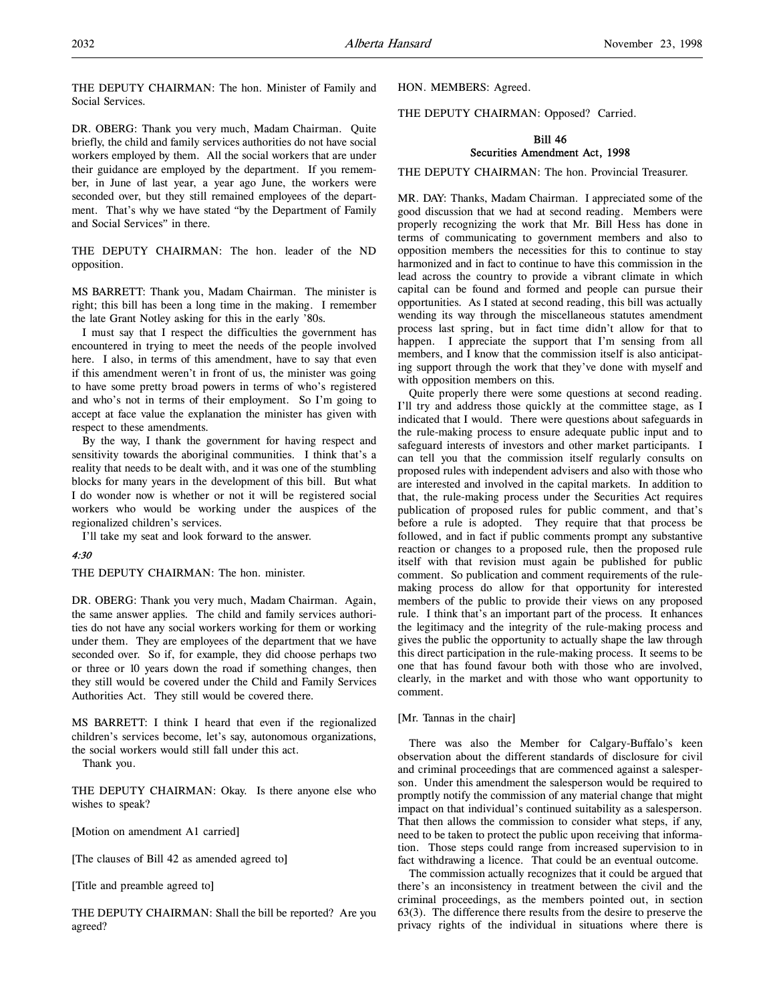DR. OBERG: Thank you very much, Madam Chairman. Quite briefly, the child and family services authorities do not have social workers employed by them. All the social workers that are under their guidance are employed by the department. If you remember, in June of last year, a year ago June, the workers were seconded over, but they still remained employees of the department. That's why we have stated "by the Department of Family and Social Services" in there.

THE DEPUTY CHAIRMAN: The hon. leader of the ND opposition.

MS BARRETT: Thank you, Madam Chairman. The minister is right; this bill has been a long time in the making. I remember the late Grant Notley asking for this in the early '80s.

I must say that I respect the difficulties the government has encountered in trying to meet the needs of the people involved here. I also, in terms of this amendment, have to say that even if this amendment weren't in front of us, the minister was going to have some pretty broad powers in terms of who's registered and who's not in terms of their employment. So I'm going to accept at face value the explanation the minister has given with respect to these amendments.

By the way, I thank the government for having respect and sensitivity towards the aboriginal communities. I think that's a reality that needs to be dealt with, and it was one of the stumbling blocks for many years in the development of this bill. But what I do wonder now is whether or not it will be registered social workers who would be working under the auspices of the regionalized children's services.

I'll take my seat and look forward to the answer.

# 4:30

THE DEPUTY CHAIRMAN: The hon. minister.

DR. OBERG: Thank you very much, Madam Chairman. Again, the same answer applies. The child and family services authorities do not have any social workers working for them or working under them. They are employees of the department that we have seconded over. So if, for example, they did choose perhaps two or three or 10 years down the road if something changes, then they still would be covered under the Child and Family Services Authorities Act. They still would be covered there.

MS BARRETT: I think I heard that even if the regionalized children's services become, let's say, autonomous organizations, the social workers would still fall under this act.

Thank you.

THE DEPUTY CHAIRMAN: Okay. Is there anyone else who wishes to speak?

[Motion on amendment A1 carried]

[The clauses of Bill 42 as amended agreed to]

[Title and preamble agreed to]

THE DEPUTY CHAIRMAN: Shall the bill be reported? Are you agreed?

HON. MEMBERS: Agreed.

THE DEPUTY CHAIRMAN: Opposed? Carried.

# Bill 46 Securities Amendment Act, 1998

THE DEPUTY CHAIRMAN: The hon. Provincial Treasurer.

MR. DAY: Thanks, Madam Chairman. I appreciated some of the good discussion that we had at second reading. Members were properly recognizing the work that Mr. Bill Hess has done in terms of communicating to government members and also to opposition members the necessities for this to continue to stay harmonized and in fact to continue to have this commission in the lead across the country to provide a vibrant climate in which capital can be found and formed and people can pursue their opportunities. As I stated at second reading, this bill was actually wending its way through the miscellaneous statutes amendment process last spring, but in fact time didn't allow for that to happen. I appreciate the support that I'm sensing from all members, and I know that the commission itself is also anticipating support through the work that they've done with myself and with opposition members on this.

Quite properly there were some questions at second reading. I'll try and address those quickly at the committee stage, as I indicated that I would. There were questions about safeguards in the rule-making process to ensure adequate public input and to safeguard interests of investors and other market participants. I can tell you that the commission itself regularly consults on proposed rules with independent advisers and also with those who are interested and involved in the capital markets. In addition to that, the rule-making process under the Securities Act requires publication of proposed rules for public comment, and that's before a rule is adopted. They require that that process be followed, and in fact if public comments prompt any substantive reaction or changes to a proposed rule, then the proposed rule itself with that revision must again be published for public comment. So publication and comment requirements of the rulemaking process do allow for that opportunity for interested members of the public to provide their views on any proposed rule. I think that's an important part of the process. It enhances the legitimacy and the integrity of the rule-making process and gives the public the opportunity to actually shape the law through this direct participation in the rule-making process. It seems to be one that has found favour both with those who are involved, clearly, in the market and with those who want opportunity to comment.

### [Mr. Tannas in the chair]

There was also the Member for Calgary-Buffalo's keen observation about the different standards of disclosure for civil and criminal proceedings that are commenced against a salesperson. Under this amendment the salesperson would be required to promptly notify the commission of any material change that might impact on that individual's continued suitability as a salesperson. That then allows the commission to consider what steps, if any, need to be taken to protect the public upon receiving that information. Those steps could range from increased supervision to in fact withdrawing a licence. That could be an eventual outcome.

The commission actually recognizes that it could be argued that there's an inconsistency in treatment between the civil and the criminal proceedings, as the members pointed out, in section 63(3). The difference there results from the desire to preserve the privacy rights of the individual in situations where there is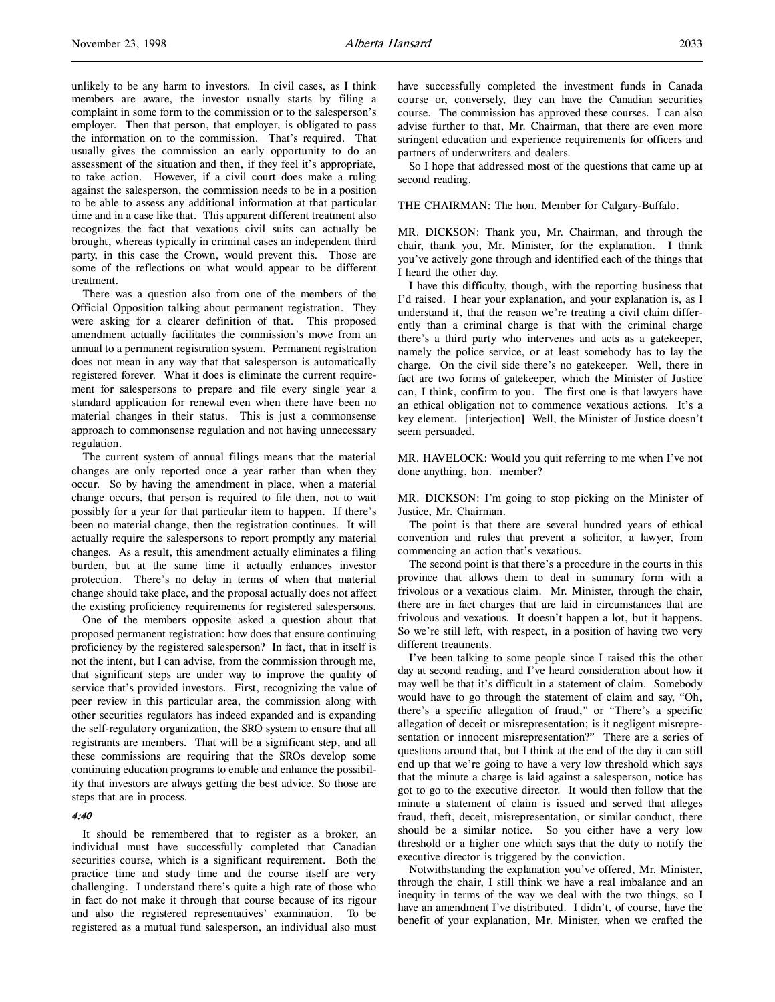unlikely to be any harm to investors. In civil cases, as I think members are aware, the investor usually starts by filing a complaint in some form to the commission or to the salesperson's employer. Then that person, that employer, is obligated to pass the information on to the commission. That's required. That usually gives the commission an early opportunity to do an assessment of the situation and then, if they feel it's appropriate, to take action. However, if a civil court does make a ruling against the salesperson, the commission needs to be in a position to be able to assess any additional information at that particular time and in a case like that. This apparent different treatment also recognizes the fact that vexatious civil suits can actually be brought, whereas typically in criminal cases an independent third party, in this case the Crown, would prevent this. Those are some of the reflections on what would appear to be different treatment.

There was a question also from one of the members of the Official Opposition talking about permanent registration. They were asking for a clearer definition of that. This proposed amendment actually facilitates the commission's move from an annual to a permanent registration system. Permanent registration does not mean in any way that that salesperson is automatically registered forever. What it does is eliminate the current requirement for salespersons to prepare and file every single year a standard application for renewal even when there have been no material changes in their status. This is just a commonsense approach to commonsense regulation and not having unnecessary regulation.

The current system of annual filings means that the material changes are only reported once a year rather than when they occur. So by having the amendment in place, when a material change occurs, that person is required to file then, not to wait possibly for a year for that particular item to happen. If there's been no material change, then the registration continues. It will actually require the salespersons to report promptly any material changes. As a result, this amendment actually eliminates a filing burden, but at the same time it actually enhances investor protection. There's no delay in terms of when that material change should take place, and the proposal actually does not affect the existing proficiency requirements for registered salespersons.

One of the members opposite asked a question about that proposed permanent registration: how does that ensure continuing proficiency by the registered salesperson? In fact, that in itself is not the intent, but I can advise, from the commission through me, that significant steps are under way to improve the quality of service that's provided investors. First, recognizing the value of peer review in this particular area, the commission along with other securities regulators has indeed expanded and is expanding the self-regulatory organization, the SRO system to ensure that all registrants are members. That will be a significant step, and all these commissions are requiring that the SROs develop some continuing education programs to enable and enhance the possibility that investors are always getting the best advice. So those are steps that are in process.

## 4:40

It should be remembered that to register as a broker, an individual must have successfully completed that Canadian securities course, which is a significant requirement. Both the practice time and study time and the course itself are very challenging. I understand there's quite a high rate of those who in fact do not make it through that course because of its rigour and also the registered representatives' examination. To be registered as a mutual fund salesperson, an individual also must

have successfully completed the investment funds in Canada course or, conversely, they can have the Canadian securities course. The commission has approved these courses. I can also advise further to that, Mr. Chairman, that there are even more stringent education and experience requirements for officers and partners of underwriters and dealers.

So I hope that addressed most of the questions that came up at second reading.

THE CHAIRMAN: The hon. Member for Calgary-Buffalo.

MR. DICKSON: Thank you, Mr. Chairman, and through the chair, thank you, Mr. Minister, for the explanation. I think you've actively gone through and identified each of the things that I heard the other day.

I have this difficulty, though, with the reporting business that I'd raised. I hear your explanation, and your explanation is, as I understand it, that the reason we're treating a civil claim differently than a criminal charge is that with the criminal charge there's a third party who intervenes and acts as a gatekeeper, namely the police service, or at least somebody has to lay the charge. On the civil side there's no gatekeeper. Well, there in fact are two forms of gatekeeper, which the Minister of Justice can, I think, confirm to you. The first one is that lawyers have an ethical obligation not to commence vexatious actions. It's a key element. [interjection] Well, the Minister of Justice doesn't seem persuaded.

MR. HAVELOCK: Would you quit referring to me when I've not done anything, hon. member?

MR. DICKSON: I'm going to stop picking on the Minister of Justice, Mr. Chairman.

The point is that there are several hundred years of ethical convention and rules that prevent a solicitor, a lawyer, from commencing an action that's vexatious.

The second point is that there's a procedure in the courts in this province that allows them to deal in summary form with a frivolous or a vexatious claim. Mr. Minister, through the chair, there are in fact charges that are laid in circumstances that are frivolous and vexatious. It doesn't happen a lot, but it happens. So we're still left, with respect, in a position of having two very different treatments.

I've been talking to some people since I raised this the other day at second reading, and I've heard consideration about how it may well be that it's difficult in a statement of claim. Somebody would have to go through the statement of claim and say, "Oh, there's a specific allegation of fraud," or "There's a specific allegation of deceit or misrepresentation; is it negligent misrepresentation or innocent misrepresentation?" There are a series of questions around that, but I think at the end of the day it can still end up that we're going to have a very low threshold which says that the minute a charge is laid against a salesperson, notice has got to go to the executive director. It would then follow that the minute a statement of claim is issued and served that alleges fraud, theft, deceit, misrepresentation, or similar conduct, there should be a similar notice. So you either have a very low threshold or a higher one which says that the duty to notify the executive director is triggered by the conviction.

Notwithstanding the explanation you've offered, Mr. Minister, through the chair, I still think we have a real imbalance and an inequity in terms of the way we deal with the two things, so I have an amendment I've distributed. I didn't, of course, have the benefit of your explanation, Mr. Minister, when we crafted the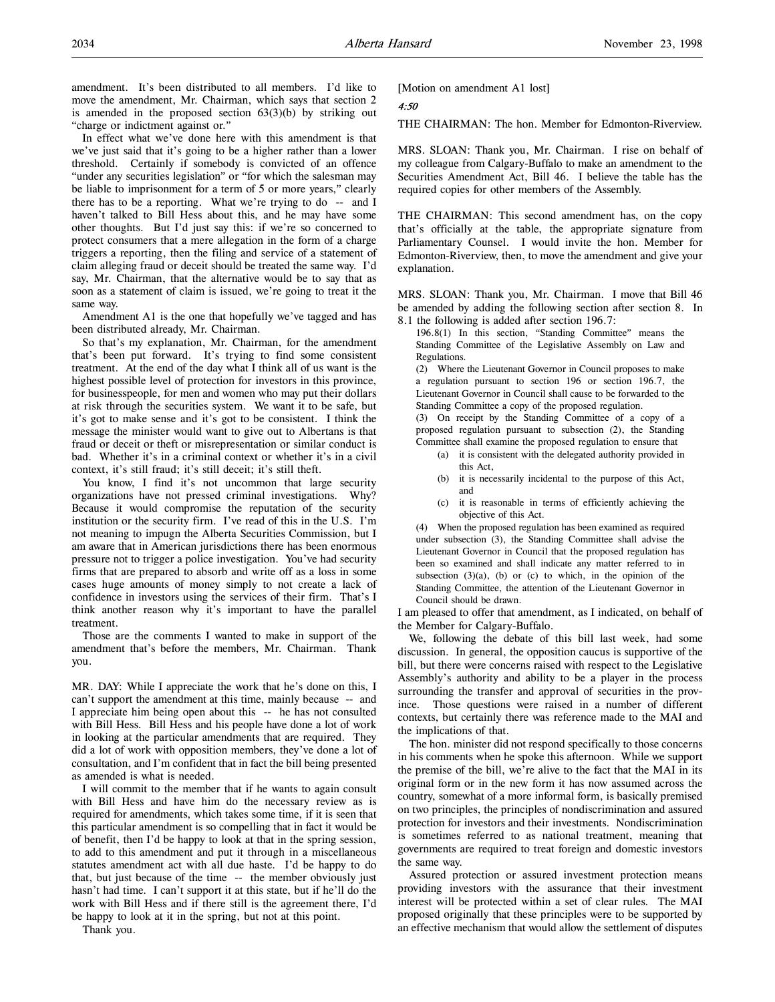amendment. It's been distributed to all members. I'd like to move the amendment, Mr. Chairman, which says that section 2 is amended in the proposed section  $63(3)(b)$  by striking out "charge or indictment against or."

In effect what we've done here with this amendment is that we've just said that it's going to be a higher rather than a lower threshold. Certainly if somebody is convicted of an offence "under any securities legislation" or "for which the salesman may be liable to imprisonment for a term of 5 or more years," clearly there has to be a reporting. What we're trying to do -- and I haven't talked to Bill Hess about this, and he may have some other thoughts. But I'd just say this: if we're so concerned to protect consumers that a mere allegation in the form of a charge triggers a reporting, then the filing and service of a statement of claim alleging fraud or deceit should be treated the same way. I'd say, Mr. Chairman, that the alternative would be to say that as soon as a statement of claim is issued, we're going to treat it the same way.

Amendment A1 is the one that hopefully we've tagged and has been distributed already, Mr. Chairman.

So that's my explanation, Mr. Chairman, for the amendment that's been put forward. It's trying to find some consistent treatment. At the end of the day what I think all of us want is the highest possible level of protection for investors in this province, for businesspeople, for men and women who may put their dollars at risk through the securities system. We want it to be safe, but it's got to make sense and it's got to be consistent. I think the message the minister would want to give out to Albertans is that fraud or deceit or theft or misrepresentation or similar conduct is bad. Whether it's in a criminal context or whether it's in a civil context, it's still fraud; it's still deceit; it's still theft.

You know, I find it's not uncommon that large security organizations have not pressed criminal investigations. Why? Because it would compromise the reputation of the security institution or the security firm. I've read of this in the U.S. I'm not meaning to impugn the Alberta Securities Commission, but I am aware that in American jurisdictions there has been enormous pressure not to trigger a police investigation. You've had security firms that are prepared to absorb and write off as a loss in some cases huge amounts of money simply to not create a lack of confidence in investors using the services of their firm. That's I think another reason why it's important to have the parallel treatment.

Those are the comments I wanted to make in support of the amendment that's before the members, Mr. Chairman. Thank you.

MR. DAY: While I appreciate the work that he's done on this, I can't support the amendment at this time, mainly because -- and I appreciate him being open about this -- he has not consulted with Bill Hess. Bill Hess and his people have done a lot of work in looking at the particular amendments that are required. They did a lot of work with opposition members, they've done a lot of consultation, and I'm confident that in fact the bill being presented as amended is what is needed.

I will commit to the member that if he wants to again consult with Bill Hess and have him do the necessary review as is required for amendments, which takes some time, if it is seen that this particular amendment is so compelling that in fact it would be of benefit, then I'd be happy to look at that in the spring session, to add to this amendment and put it through in a miscellaneous statutes amendment act with all due haste. I'd be happy to do that, but just because of the time -- the member obviously just hasn't had time. I can't support it at this state, but if he'll do the work with Bill Hess and if there still is the agreement there, I'd be happy to look at it in the spring, but not at this point.

Thank you.

[Motion on amendment A1 lost]

4:50

THE CHAIRMAN: The hon. Member for Edmonton-Riverview.

MRS. SLOAN: Thank you, Mr. Chairman. I rise on behalf of my colleague from Calgary-Buffalo to make an amendment to the Securities Amendment Act, Bill 46. I believe the table has the required copies for other members of the Assembly.

THE CHAIRMAN: This second amendment has, on the copy that's officially at the table, the appropriate signature from Parliamentary Counsel. I would invite the hon. Member for Edmonton-Riverview, then, to move the amendment and give your explanation.

MRS. SLOAN: Thank you, Mr. Chairman. I move that Bill 46 be amended by adding the following section after section 8. In 8.1 the following is added after section 196.7:

196.8(1) In this section, "Standing Committee" means the Standing Committee of the Legislative Assembly on Law and Regulations.

(2) Where the Lieutenant Governor in Council proposes to make a regulation pursuant to section 196 or section 196.7, the Lieutenant Governor in Council shall cause to be forwarded to the Standing Committee a copy of the proposed regulation.

(3) On receipt by the Standing Committee of a copy of a proposed regulation pursuant to subsection (2), the Standing Committee shall examine the proposed regulation to ensure that

- (a) it is consistent with the delegated authority provided in this Act,
- (b) it is necessarily incidental to the purpose of this Act, and
- (c) it is reasonable in terms of efficiently achieving the objective of this Act.

(4) When the proposed regulation has been examined as required under subsection (3), the Standing Committee shall advise the Lieutenant Governor in Council that the proposed regulation has been so examined and shall indicate any matter referred to in subsection  $(3)(a)$ ,  $(b)$  or  $(c)$  to which, in the opinion of the Standing Committee, the attention of the Lieutenant Governor in Council should be drawn.

I am pleased to offer that amendment, as I indicated, on behalf of the Member for Calgary-Buffalo.

We, following the debate of this bill last week, had some discussion. In general, the opposition caucus is supportive of the bill, but there were concerns raised with respect to the Legislative Assembly's authority and ability to be a player in the process surrounding the transfer and approval of securities in the province. Those questions were raised in a number of different contexts, but certainly there was reference made to the MAI and the implications of that.

The hon. minister did not respond specifically to those concerns in his comments when he spoke this afternoon. While we support the premise of the bill, we're alive to the fact that the MAI in its original form or in the new form it has now assumed across the country, somewhat of a more informal form, is basically premised on two principles, the principles of nondiscrimination and assured protection for investors and their investments. Nondiscrimination is sometimes referred to as national treatment, meaning that governments are required to treat foreign and domestic investors the same way.

Assured protection or assured investment protection means providing investors with the assurance that their investment interest will be protected within a set of clear rules. The MAI proposed originally that these principles were to be supported by an effective mechanism that would allow the settlement of disputes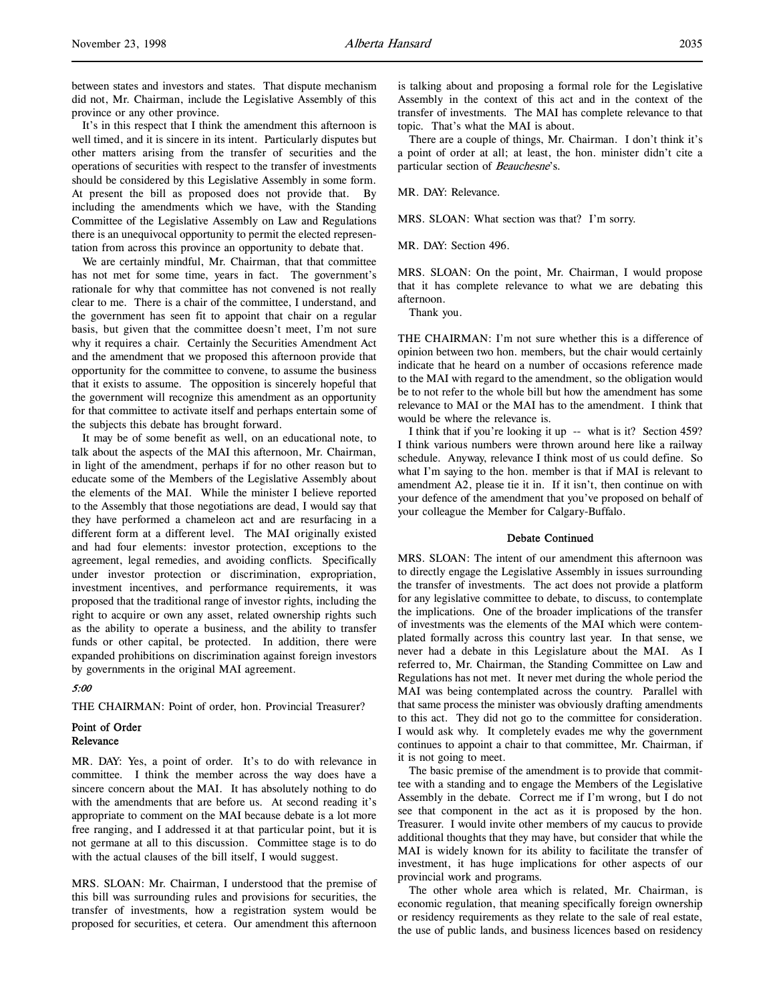between states and investors and states. That dispute mechanism did not, Mr. Chairman, include the Legislative Assembly of this province or any other province.

It's in this respect that I think the amendment this afternoon is well timed, and it is sincere in its intent. Particularly disputes but other matters arising from the transfer of securities and the operations of securities with respect to the transfer of investments should be considered by this Legislative Assembly in some form. At present the bill as proposed does not provide that. By including the amendments which we have, with the Standing Committee of the Legislative Assembly on Law and Regulations there is an unequivocal opportunity to permit the elected representation from across this province an opportunity to debate that.

We are certainly mindful, Mr. Chairman, that that committee has not met for some time, years in fact. The government's rationale for why that committee has not convened is not really clear to me. There is a chair of the committee, I understand, and the government has seen fit to appoint that chair on a regular basis, but given that the committee doesn't meet, I'm not sure why it requires a chair. Certainly the Securities Amendment Act and the amendment that we proposed this afternoon provide that opportunity for the committee to convene, to assume the business that it exists to assume. The opposition is sincerely hopeful that the government will recognize this amendment as an opportunity for that committee to activate itself and perhaps entertain some of the subjects this debate has brought forward.

It may be of some benefit as well, on an educational note, to talk about the aspects of the MAI this afternoon, Mr. Chairman, in light of the amendment, perhaps if for no other reason but to educate some of the Members of the Legislative Assembly about the elements of the MAI. While the minister I believe reported to the Assembly that those negotiations are dead, I would say that they have performed a chameleon act and are resurfacing in a different form at a different level. The MAI originally existed and had four elements: investor protection, exceptions to the agreement, legal remedies, and avoiding conflicts. Specifically under investor protection or discrimination, expropriation, investment incentives, and performance requirements, it was proposed that the traditional range of investor rights, including the right to acquire or own any asset, related ownership rights such as the ability to operate a business, and the ability to transfer funds or other capital, be protected. In addition, there were expanded prohibitions on discrimination against foreign investors by governments in the original MAI agreement.

### 5:00

THE CHAIRMAN: Point of order, hon. Provincial Treasurer?

# Point of Order Relevance

MR. DAY: Yes, a point of order. It's to do with relevance in committee. I think the member across the way does have a sincere concern about the MAI. It has absolutely nothing to do with the amendments that are before us. At second reading it's appropriate to comment on the MAI because debate is a lot more free ranging, and I addressed it at that particular point, but it is not germane at all to this discussion. Committee stage is to do with the actual clauses of the bill itself, I would suggest.

MRS. SLOAN: Mr. Chairman, I understood that the premise of this bill was surrounding rules and provisions for securities, the transfer of investments, how a registration system would be proposed for securities, et cetera. Our amendment this afternoon

is talking about and proposing a formal role for the Legislative Assembly in the context of this act and in the context of the transfer of investments. The MAI has complete relevance to that topic. That's what the MAI is about.

There are a couple of things, Mr. Chairman. I don't think it's a point of order at all; at least, the hon. minister didn't cite a particular section of Beauchesne's.

MR. DAY: Relevance.

MRS. SLOAN: What section was that? I'm sorry.

MR. DAY: Section 496.

MRS. SLOAN: On the point, Mr. Chairman, I would propose that it has complete relevance to what we are debating this afternoon.

Thank you.

THE CHAIRMAN: I'm not sure whether this is a difference of opinion between two hon. members, but the chair would certainly indicate that he heard on a number of occasions reference made to the MAI with regard to the amendment, so the obligation would be to not refer to the whole bill but how the amendment has some relevance to MAI or the MAI has to the amendment. I think that would be where the relevance is.

I think that if you're looking it up -- what is it? Section 459? I think various numbers were thrown around here like a railway schedule. Anyway, relevance I think most of us could define. So what I'm saying to the hon. member is that if MAI is relevant to amendment A2, please tie it in. If it isn't, then continue on with your defence of the amendment that you've proposed on behalf of your colleague the Member for Calgary-Buffalo.

## Debate Continued

MRS. SLOAN: The intent of our amendment this afternoon was to directly engage the Legislative Assembly in issues surrounding the transfer of investments. The act does not provide a platform for any legislative committee to debate, to discuss, to contemplate the implications. One of the broader implications of the transfer of investments was the elements of the MAI which were contemplated formally across this country last year. In that sense, we never had a debate in this Legislature about the MAI. As I referred to, Mr. Chairman, the Standing Committee on Law and Regulations has not met. It never met during the whole period the MAI was being contemplated across the country. Parallel with that same process the minister was obviously drafting amendments to this act. They did not go to the committee for consideration. I would ask why. It completely evades me why the government continues to appoint a chair to that committee, Mr. Chairman, if it is not going to meet.

The basic premise of the amendment is to provide that committee with a standing and to engage the Members of the Legislative Assembly in the debate. Correct me if I'm wrong, but I do not see that component in the act as it is proposed by the hon. Treasurer. I would invite other members of my caucus to provide additional thoughts that they may have, but consider that while the MAI is widely known for its ability to facilitate the transfer of investment, it has huge implications for other aspects of our provincial work and programs.

The other whole area which is related, Mr. Chairman, is economic regulation, that meaning specifically foreign ownership or residency requirements as they relate to the sale of real estate, the use of public lands, and business licences based on residency